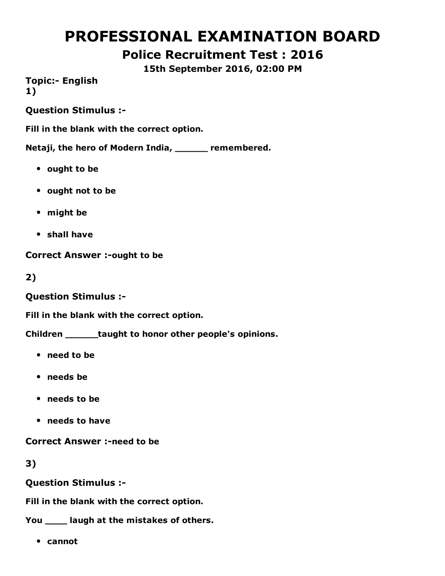# PROFESSIONAL EXAMINATION BOARD

# Police Recruitment Test : 2016

15th September 2016, 02:00 PM

**Topic:- English** 1)

Question Stimulus :

Fill in the blank with the correct option.

Netaji, the hero of Modern India, \_\_\_\_\_\_ remembered.

- ought to be
- ought not to be
- might be
- shall have

**Correct Answer :- ought to be** 

2)

Question Stimulus :

Fill in the blank with the correct option.

Children \_\_\_\_\_\_taught to honor other people's opinions.

- need to be
- needs be
- needs to be
- needs to have

**Correct Answer :-need to be** 

3)

Question Stimulus :

Fill in the blank with the correct option.

You \_\_\_\_ laugh at the mistakes of others.

cannot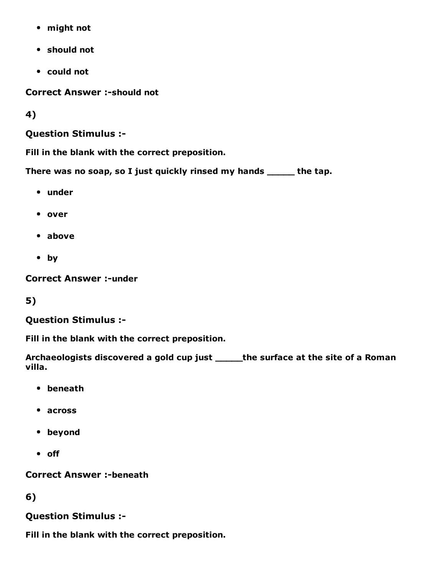- might not
- should not
- could not

**Correct Answer :- should not** 

4)

### Question Stimulus :

Fill in the blank with the correct preposition.

There was no soap, so I just quickly rinsed my hands \_\_\_\_\_ the tap.

- under
- over
- above
- by

**Correct Answer :- under** 

5)

## Question Stimulus :

Fill in the blank with the correct preposition.

Archaeologists discovered a gold cup just \_\_\_\_\_the surface at the site of a Roman villa.

- beneath
- across
- beyond
- off

**Correct Answer :-beneath** 

6)

Question Stimulus :

Fill in the blank with the correct preposition.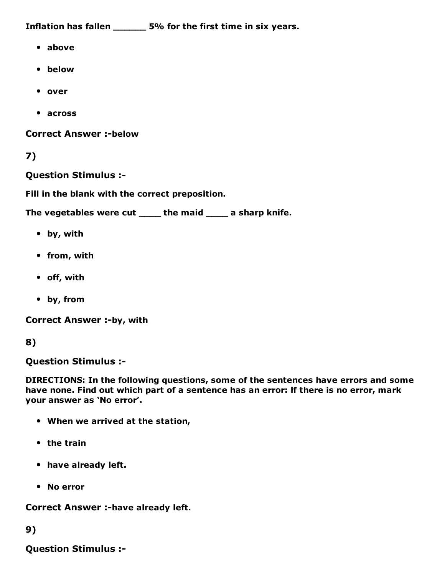Inflation has fallen \_\_\_\_\_\_ 5% for the first time in six years.

- above
- below
- over
- across

**Correct Answer :-below** 

```
7)
```
Question Stimulus :

Fill in the blank with the correct preposition.

The vegetables were cut \_\_\_\_\_ the maid \_\_\_\_\_ a sharp knife.

- by, with
- from, with
- off, with
- by, from

Correct Answer :-by, with

### 8)

Question Stimulus :

DIRECTIONS: In the following questions, some of the sentences have errors and some have none. Find out which part of a sentence has an error: lf there is no error, mark your answer as 'No error'.

- When we arrived at the station,
- $\bullet$  the train
- have already left.
- No error

Correct Answer :- have already left.

## 9)

Question Stimulus :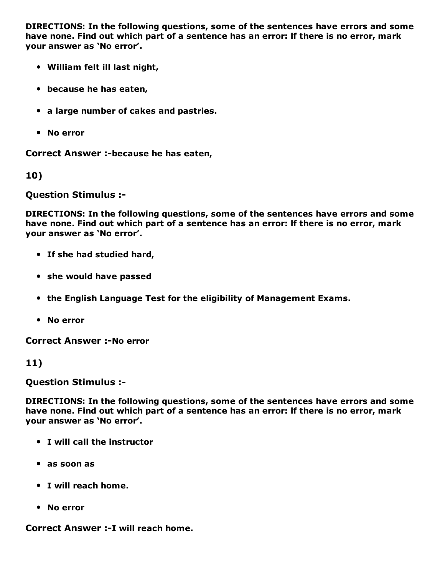DIRECTIONS: In the following questions, some of the sentences have errors and some have none. Find out which part of a sentence has an error: lf there is no error, mark your answer as 'No error'.

- William felt ill last night,
- because he has eaten,
- a large number of cakes and pastries.
- No error

Correct Answer :-because he has eaten,

10)

Question Stimulus :

DIRECTIONS: In the following questions, some of the sentences have errors and some have none. Find out which part of a sentence has an error: lf there is no error, mark your answer as 'No error'.

- If she had studied hard,
- she would have passed
- the English Language Test for the eligibility of Management Exams.
- No error

**Correct Answer :-No error** 

#### 11)

Question Stimulus :

DIRECTIONS: In the following questions, some of the sentences have errors and some have none. Find out which part of a sentence has an error: lf there is no error, mark your answer as 'No error'.

- I will call the instructor
- as soon as
- I will reach home.
- No error

Correct Answer :- I will reach home.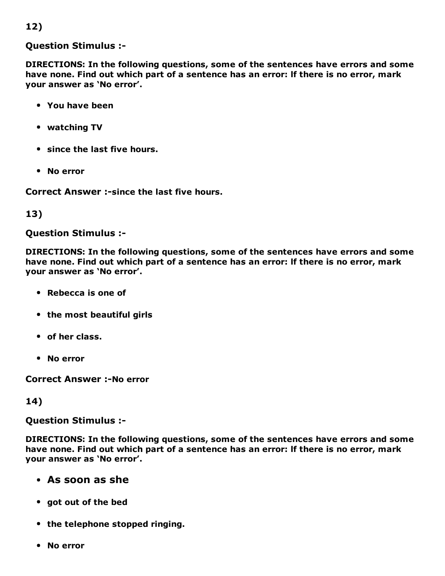## 12)

#### Question Stimulus :

DIRECTIONS: In the following questions, some of the sentences have errors and some have none. Find out which part of a sentence has an error: lf there is no error, mark your answer as 'No error'.

- You have been
- watching TV
- since the last five hours.
- No error

Correct Answer :- since the last five hours.

#### 13)

#### Question Stimulus :

DIRECTIONS: In the following questions, some of the sentences have errors and some have none. Find out which part of a sentence has an error: lf there is no error, mark your answer as 'No error'.

- Rebecca is one of
- the most beautiful girls
- of her class.
- No error

**Correct Answer :-No error** 

#### 14)

Question Stimulus :

DIRECTIONS: In the following questions, some of the sentences have errors and some have none. Find out which part of a sentence has an error: lf there is no error, mark your answer as 'No error'.

### As soon as she

- got out of the bed
- the telephone stopped ringing.
- No error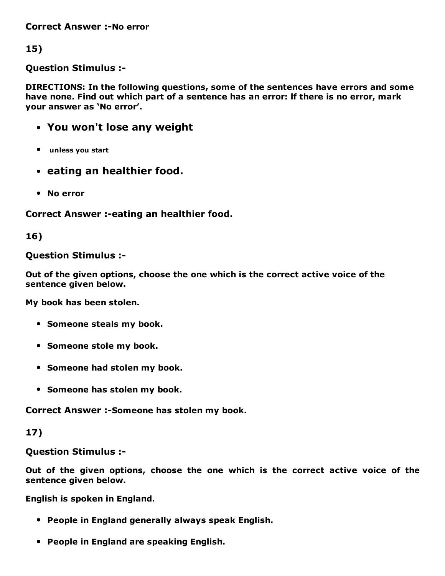**Correct Answer :-No error** 

15)

Question Stimulus :

DIRECTIONS: In the following questions, some of the sentences have errors and some have none. Find out which part of a sentence has an error: lf there is no error, mark your answer as 'No error'.

- You won't lose any weight
- unless you start
- eating an healthier food.
- No error

Correct Answer :-eating an healthier food.

16)

#### Question Stimulus :

Out of the given options, choose the one which is the correct active voice of the sentence given below.

My book has been stolen.

- Someone steals my book.
- Someone stole my book.
- Someone had stolen my book.
- Someone has stolen my book.

Correct Answer :-Someone has stolen my book.

### 17)

Question Stimulus :

Out of the given options, choose the one which is the correct active voice of the sentence given below.

English is spoken in England.

- People in England generally always speak English.
- People in England are speaking English.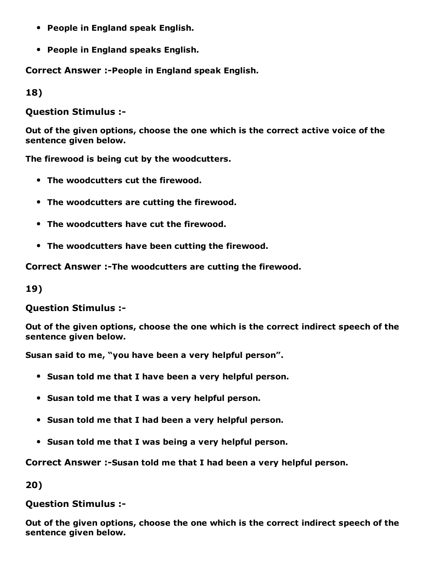- People in England speak English.
- People in England speaks English.

Correct Answer :-People in England speak English.

18)

Question Stimulus :

Out of the given options, choose the one which is the correct active voice of the sentence given below.

The firewood is being cut by the woodcutters.

- The woodcutters cut the firewood.
- The woodcutters are cutting the firewood.
- The woodcutters have cut the firewood.
- The woodcutters have been cutting the firewood.

Correct Answer :-The woodcutters are cutting the firewood.

19)

Question Stimulus :

Out of the given options, choose the one which is the correct indirect speech of the sentence given below.

Susan said to me, "you have been a very helpful person".

- Susan told me that I have been a very helpful person.
- Susan told me that I was a very helpful person.
- Susan told me that I had been a very helpful person.
- Susan told me that I was being a very helpful person.

Correct Answer :-Susan told me that I had been a very helpful person.

20)

Question Stimulus :

Out of the given options, choose the one which is the correct indirect speech of the sentence given below.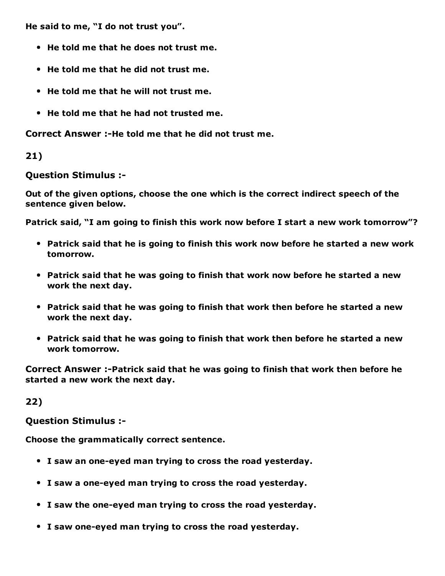He said to me, "I do not trust you".

- He told me that he does not trust me.
- He told me that he did not trust me.
- He told me that he will not trust me.
- He told me that he had not trusted me.

Correct Answer :-He told me that he did not trust me.

### 21)

Question Stimulus :

Out of the given options, choose the one which is the correct indirect speech of the sentence given below.

Patrick said, "I am going to finish this work now before I start a new work tomorrow"?

- Patrick said that he is going to finish this work now before he started a new work tomorrow.
- Patrick said that he was going to finish that work now before he started a new work the next day.
- Patrick said that he was going to finish that work then before he started a new work the next day.
- Patrick said that he was going to finish that work then before he started a new work tomorrow.

Correct Answer :-Patrick said that he was going to finish that work then before he started a new work the next day.

### 22)

Question Stimulus :

Choose the grammatically correct sentence.

- I saw an one-eyed man trying to cross the road yesterday.
- I saw a one-eyed man trying to cross the road yesterday.
- I saw the one-eyed man trying to cross the road yesterday.
- I saw one-eyed man trying to cross the road yesterday.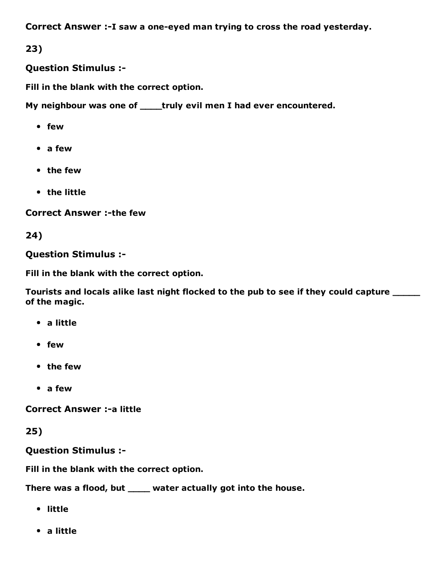Correct Answer :-I saw a one-eyed man trying to cross the road yesterday.

23)

Question Stimulus :

Fill in the blank with the correct option.

My neighbour was one of \_\_\_\_truly evil men I had ever encountered.

- few
- a few
- the few
- the little

**Correct Answer :-the few** 

24)

Question Stimulus :

Fill in the blank with the correct option.

Tourists and locals alike last night flocked to the pub to see if they could capture  $\frac{1}{\sqrt{1-\frac{1}{n}}}$ of the magic.

- a little
- few
- the few
- a few

**Correct Answer :- a little** 

25)

Question Stimulus :

Fill in the blank with the correct option.

There was a flood, but \_\_\_\_ water actually got into the house.

- little
- a little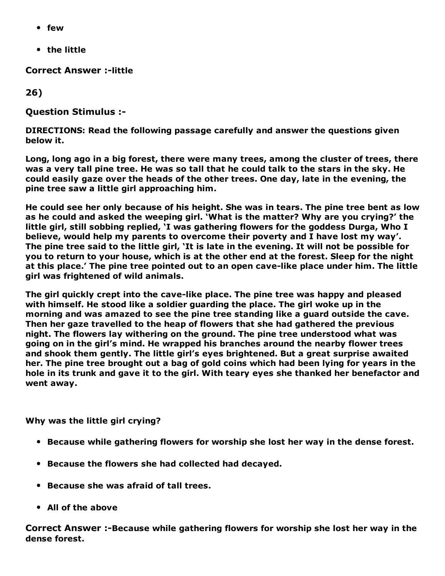- few
- the little

**Correct Answer :-little** 

26)

Question Stimulus :

DIRECTIONS: Read the following passage carefully and answer the questions given below it.

Long, long ago in a big forest, there were many trees, among the cluster of trees, there was a very tall pine tree. He was so tall that he could talk to the stars in the sky. He could easily gaze over the heads of the other trees. One day, late in the evening, the pine tree saw a little girl approaching him.

He could see her only because of his height. She was in tears. The pine tree bent as low as he could and asked the weeping girl. 'What is the matter? Why are you crying?' the little girl, still sobbing replied, 'I was gathering flowers for the goddess Durga, Who I believe, would help my parents to overcome their poverty and I have lost my way'. The pine tree said to the little girl, 'It is late in the evening. It will not be possible for you to return to your house, which is at the other end at the forest. Sleep for the night at this place.' The pine tree pointed out to an open cavelike place under him. The little girl was frightened of wild animals.

The girl quickly crept into the cave-like place. The pine tree was happy and pleased with himself. He stood like a soldier guarding the place. The girl woke up in the morning and was amazed to see the pine tree standing like a guard outside the cave. Then her gaze travelled to the heap of flowers that she had gathered the previous night. The flowers lay withering on the ground. The pine tree understood what was going on in the girl's mind. He wrapped his branches around the nearby flower trees and shook them gently. The little girl's eyes brightened. But a great surprise awaited her. The pine tree brought out a bag of gold coins which had been lying for years in the hole in its trunk and gave it to the girl. With teary eyes she thanked her benefactor and went away.

Why was the little girl crying?

- Because while gathering flowers for worship she lost her way in the dense forest.
- Because the flowers she had collected had decayed.
- Because she was afraid of tall trees.
- All of the above

Correct Answer :-Because while gathering flowers for worship she lost her way in the dense forest.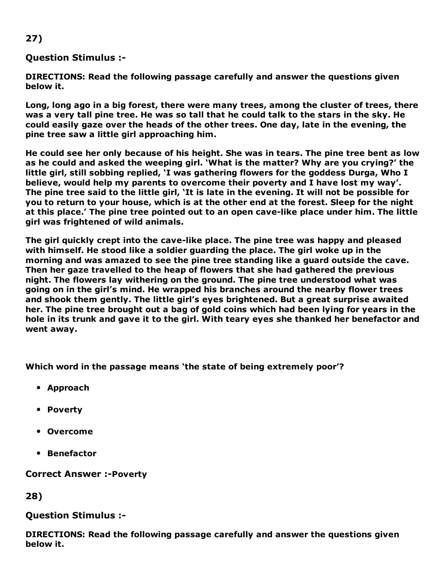### 27)

#### Question Stimulus :

DIRECTIONS: Read the following passage carefully and answer the questions given below it.

Long, long ago in a big forest, there were many trees, among the cluster of trees, there was a very tall pine tree. He was so tall that he could talk to the stars in the sky. He could easily gaze over the heads of the other trees. One day, late in the evening, the pine tree saw a little girl approaching him.

He could see her only because of his height. She was in tears. The pine tree bent as low as he could and asked the weeping girl. 'What is the matter? Why are you crying?' the little girl, still sobbing replied, 'I was gathering flowers for the goddess Durga, Who I believe, would help my parents to overcome their poverty and I have lost my way'. The pine tree said to the little girl, 'It is late in the evening. It will not be possible for you to return to your house, which is at the other end at the forest. Sleep for the night at this place.' The pine tree pointed out to an open cave-like place under him. The little girl was frightened of wild animals.

The girl quickly crept into the cave-like place. The pine tree was happy and pleased with himself. He stood like a soldier guarding the place. The girl woke up in the morning and was amazed to see the pine tree standing like a guard outside the cave. Then her gaze travelled to the heap of flowers that she had gathered the previous night. The flowers lay withering on the ground. The pine tree understood what was going on in the girl's mind. He wrapped his branches around the nearby flower trees and shook them gently. The little girl's eyes brightened. But a great surprise awaited her. The pine tree brought out a bag of gold coins which had been lying for years in the hole in its trunk and gave it to the girl. With teary eyes she thanked her benefactor and went away.

Which word in the passage means 'the state of being extremely poor'?

- Approach
- Poverty
- Overcome
- **•** Benefactor

**Correct Answer :-Poverty** 

28)

#### Question Stimulus :

DIRECTIONS: Read the following passage carefully and answer the questions given below it.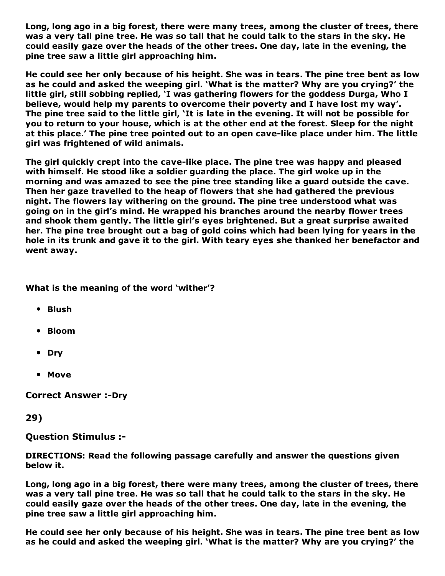Long, long ago in a big forest, there were many trees, among the cluster of trees, there was a very tall pine tree. He was so tall that he could talk to the stars in the sky. He could easily gaze over the heads of the other trees. One day, late in the evening, the pine tree saw a little girl approaching him.

He could see her only because of his height. She was in tears. The pine tree bent as low as he could and asked the weeping girl. 'What is the matter? Why are you crying?' the little girl, still sobbing replied, 'I was gathering flowers for the goddess Durga, Who I believe, would help my parents to overcome their poverty and I have lost my way'. The pine tree said to the little girl, 'It is late in the evening. It will not be possible for you to return to your house, which is at the other end at the forest. Sleep for the night at this place.' The pine tree pointed out to an open cavelike place under him. The little girl was frightened of wild animals.

The girl quickly crept into the cave-like place. The pine tree was happy and pleased with himself. He stood like a soldier guarding the place. The girl woke up in the morning and was amazed to see the pine tree standing like a guard outside the cave. Then her gaze travelled to the heap of flowers that she had gathered the previous night. The flowers lay withering on the ground. The pine tree understood what was going on in the girl's mind. He wrapped his branches around the nearby flower trees and shook them gently. The little girl's eyes brightened. But a great surprise awaited her. The pine tree brought out a bag of gold coins which had been lying for years in the hole in its trunk and gave it to the girl. With teary eyes she thanked her benefactor and went away.

#### What is the meaning of the word 'wither'?

- Blush
- Bloom
- Dry
- Move

**Correct Answer :-Dry** 

29)

Question Stimulus :

DIRECTIONS: Read the following passage carefully and answer the questions given below it.

Long, long ago in a big forest, there were many trees, among the cluster of trees, there was a very tall pine tree. He was so tall that he could talk to the stars in the sky. He could easily gaze over the heads of the other trees. One day, late in the evening, the pine tree saw a little girl approaching him.

He could see her only because of his height. She was in tears. The pine tree bent as low as he could and asked the weeping girl. 'What is the matter? Why are you crying?' the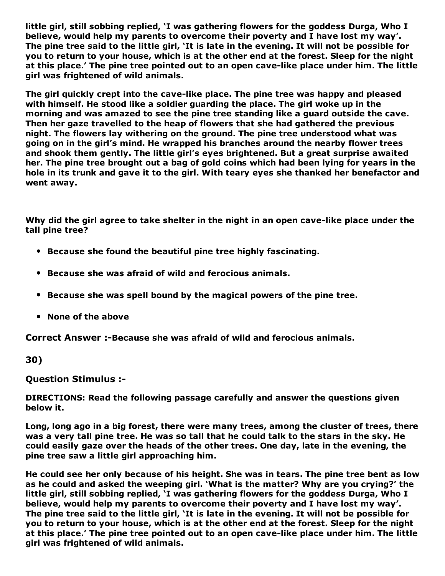little girl, still sobbing replied, 'I was gathering flowers for the goddess Durga, Who I believe, would help my parents to overcome their poverty and I have lost my way'. The pine tree said to the little girl, 'It is late in the evening. It will not be possible for you to return to your house, which is at the other end at the forest. Sleep for the night at this place.' The pine tree pointed out to an open cavelike place under him. The little girl was frightened of wild animals.

The girl quickly crept into the cave-like place. The pine tree was happy and pleased with himself. He stood like a soldier guarding the place. The girl woke up in the morning and was amazed to see the pine tree standing like a guard outside the cave. Then her gaze travelled to the heap of flowers that she had gathered the previous night. The flowers lay withering on the ground. The pine tree understood what was going on in the girl's mind. He wrapped his branches around the nearby flower trees and shook them gently. The little girl's eyes brightened. But a great surprise awaited her. The pine tree brought out a bag of gold coins which had been lying for years in the hole in its trunk and gave it to the girl. With teary eyes she thanked her benefactor and went away.

Why did the girl agree to take shelter in the night in an open cave-like place under the tall pine tree?

- Because she found the beautiful pine tree highly fascinating.
- Because she was afraid of wild and ferocious animals.
- Because she was spell bound by the magical powers of the pine tree.
- None of the above

Correct Answer :- Because she was afraid of wild and ferocious animals.

30)

Question Stimulus :

DIRECTIONS: Read the following passage carefully and answer the questions given below it.

Long, long ago in a big forest, there were many trees, among the cluster of trees, there was a very tall pine tree. He was so tall that he could talk to the stars in the sky. He could easily gaze over the heads of the other trees. One day, late in the evening, the pine tree saw a little girl approaching him.

He could see her only because of his height. She was in tears. The pine tree bent as low as he could and asked the weeping girl. 'What is the matter? Why are you crying?' the little girl, still sobbing replied, 'I was gathering flowers for the goddess Durga, Who I believe, would help my parents to overcome their poverty and I have lost my way'. The pine tree said to the little girl, 'It is late in the evening. It will not be possible for you to return to your house, which is at the other end at the forest. Sleep for the night at this place.' The pine tree pointed out to an open cavelike place under him. The little girl was frightened of wild animals.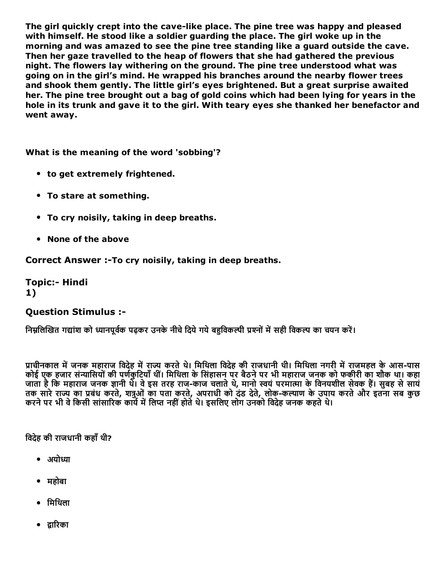The girl quickly crept into the cave-like place. The pine tree was happy and pleased with himself. He stood like a soldier guarding the place. The girl woke up in the morning and was amazed to see the pine tree standing like a guard outside the cave. Then her gaze travelled to the heap of flowers that she had gathered the previous night. The flowers lay withering on the ground. The pine tree understood what was going on in the girl's mind. He wrapped his branches around the nearby flower trees and shook them gently. The little girl's eyes brightened. But a great surprise awaited her. The pine tree brought out a bag of gold coins which had been lying for years in the hole in its trunk and gave it to the girl. With teary eyes she thanked her benefactor and went away.

What is the meaning of the word 'sobbing'?

- to get extremely frightened.
- To stare at something.
- To cry noisily, taking in deep breaths.
- None of the above

Correct Answer :- To cry noisily, taking in deep breaths.

**Topic:- Hindi** 1)

#### Question Stimulus :

निम्रलिखित गद्यांश को ध्यानपर्वक पढ़कर उनके नीचे टिये गये बहविकल्पी प्रश्नों में सही विकल्प का चयन करें।

प्राचीनकाल में जनक महाराज विदेह में राज्य करते थे। मिथिला विदेह की राजधानी थी। मिथिला नगरी में राजमहल के आस-पास कोई एक हजार संन्यासियों की पर्णकुटियाँ थीं। मिथिला के सिंहासन पर बैठने पर भी महाराज जनक को फकीरी का शौक था। कहा जाता है कि महाराज जनक ज्ञानी थे। वे इस तरह राज-काज चलाते थे, मानो स्वयं परमात्मा के विनयशील सेवक हैं। सुबह से सायं तक सारे राज्य का प्रबंध करते, शत्रुओं का पता करते, अपराधी को दंड देते, लोक-कल्याण के उपाय करते और इतना सब कुछ करने पर भी वे किसी सांसारिक कार्य में लिप्त नहीं होते थे। इसलिए लोग उनको विदेह जनक कहते थे।

विदेह की राजधानी कहाँ थी?

- अयोध्या
- महोबा
- िमिथला
- द्वारिका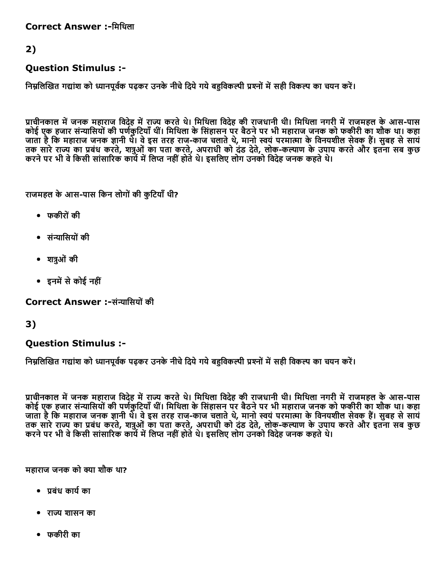Correct Answer :-मिथिला

# 2)

### Question Stimulus :

निम्नलिखित गद्यांश को ध्यानपूर्वक पढ़कर उनके नीचे दिये गये बहविकल्पी प्रश्नों में सही विकल्प का चयन करें।

प्राचीनकाल में जनक महाराज विदेह में राज्य करते थे। मिथिला विदेह की राजधानी थी। मिथिला नगरी में राजमहल के आस-पास ्या है एक हजार संन्यासियों की पर्णकूटियाँ थीं। मिथिला के सिंहासन पर बैठने पर भी महाराज जनक को फकीरी का शौक था। कहा जाता है कि महाराज जनक ज्ञानी थे। वे इस तरह राज-काज चलाते थे, मानो स्वयं परमात्मा के विनयशील सेवक हैं। सुबह से सायं तक सारे राज्य का प्रबंध करते, शत्रुओं का पता करते, अपराधी को दंड देते, लोक-कल्याण के उपाय करते और इतना सब कुछ करने पर भी वे किसी सांसारिक कार्य में लिप्त नहीं होते थे। इसलिए लोग उनको विदेह जनक कहते थे।

राजमहल के आस-पास किन लोगों की कुटियाँ थी?

- फकीरोंकी
- संन्यासियों की
- शत्रुओं की
- इनमें से कोई नहीं

Correct Answer :-संन्यासियों की

## 3)

### Question Stimulus :

निम्नलिखित गद्यांश को ध्यानपूर्वक पढ़कर उनके नीचे दिये गये बहविकल्पी प्रश्नों में सही विकल्प का चयन करें।

प्राचीनकाल में जनक महाराज विदेह में राज्य करते थे। मिथिला विदेह की राजधानी थी। मिथिला नगरी में राजमहल के आस-पास कोई एक हजार संन्यासियों की पर्णकुटियाँ थीं। मिथिला के सिंहासन पर बैठने पर भी महाराज जनक को फकीरी का शौक था। कहा जाता है कि महाराज जनक ज्ञानी थे। वे इस तरह राज-काज चलाते थे, मानो स्वयं परमात्मा के विनयशील सेवक हैं। सुबह से सायं तक सारे राज्य का प्रबंध करते, शत्रुओं का पता करते, अपराधी को दंड देते, लोक-कल्याण के उपाय करते और इतना सब कुछ करने पर भी वे किसी सांसारिक कार्य में लिप्त नहीं होते थे। इसलिए लोग उनको विदेह जनक कहते थे।

महाराज जनक को ㌰〰ा शौक था?

- ㈱‸बंध काय浔″का
- राज्य शासन का
- फकीरी का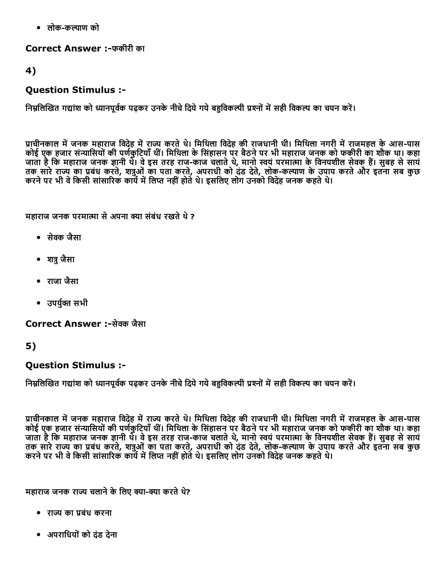• लोक-कल्याण को

Correct Answer :फकीरी का

4)

### Question Stimulus :

निम्नलिखित गद्यांश को ध्यानपूर्वक पढ़कर उनके नीचे दिये गये बहुविकल्पी प्रश्नों में सही विकल्प का चयन करें।

प्राचीनकाल में जनक महाराज विदेह में राज्य करते थे। मिथिला विदेह की राजधानी थी। मिथिला नगरी में राजमहल के आस-पास कोई एक हजार संन्यासियों की पर्णकटियाँ थीं। मिथिला के सिंहासन पर बैठने पर भी महाराज जनक को फकीरी का शौक था। कहा जाता है कि महाराज जनक ज्ञानी थे। वे इस तरह राज-काज चलाते थे, मानो स्वयं परमात्मा के विनयशील सेवक हैं। सुबह से सायं तक सारे राज्य का प्रबंध करते, शत्रुओं का पता करते, अपराधी को दंड देते, लोक-कल्याण के उपाय करते और इतना सब कुछ ्याले था होते था के सांसारिक कार्य में लिप्त नहीं होते थे। इसलिए लोग उनको विदेह जनक कहते थे।<br>करने पर भी वे किसी सांसारिक कार्य में लिप्त नहीं होते थे। इसलिए लोग उनको विदेह जनक कहते थे।

महाराज जनक परमात्मा से अपना क्या संबंध रखते थे ?

- सेवक जैसा
- शत्र जैसा
- राजा जैसा
- $\bullet$  उपर्यक्त सभी

Correct Answer :-सेवक जैसा

### 5)

### Question Stimulus :

निम्नलिखित गद्यांश को ध्यानपूर्वक पढ़कर उनके नीचे दिये गये बहुविकल्पी प्रश्नों में सही विकल्प का चयन करें।

प्राचीनकाल में जनक महाराज विदेह में राज्य करते थे। मिथिला विदेह की राजधानी थी। मिथिला नगरी में राजमहल के आस-पास कोई एक हजार संन्यासियों की पर्णकुटियाँ थीं। मिथिला के सिंहासन पर बैठने पर भी महाराज जनक को फकीरी का शौक था। कहा जाता है कि महाराज जनक ज्ञानी थे। वे इस तरह राज-काज चलाते थे, मानो स्वयं परमात्मा के विनयशील सेवक है। सुबह से साय तक सारे राज्य का प्रबंध करते, शत्रुओं का पता करते, अपराधी को दंड देते, लोक-कल्याण के उपाय करते और इतना सब कुछ करने पर भी वे किसी सांसारिक कार्य में लिप्त नहीं होते थे। इसलिए लोग उनको विदेह जनक कहते थे।

महाराज जनक राज्य चलाने के लिए क्या-क्या करते थे?

- राㄠ〲 का ㈱‸बंध करना
- अपरािधयोंको दंड देना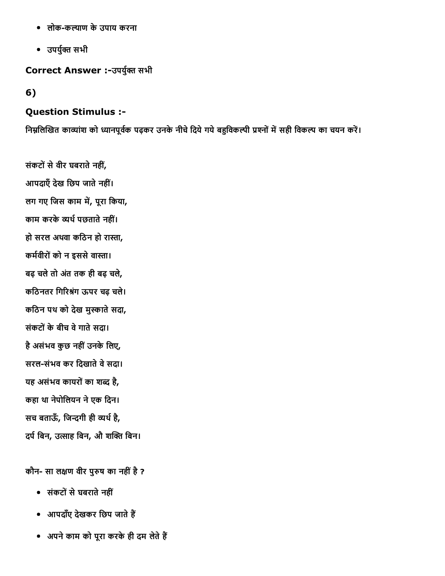- लोक-कल्याण के उपाय करना
- उपर्युक्त सभी

### Correct Answer :-उपर्युक्त सभी

### 6)

#### Question Stimulus :

निम्नलिखित काव्यांश को ध्यानपूर्वक पढ़कर उनके नीचे दिये गये बहुविकल्पी प्रश्नों में सही विकल्प का चयन करें।

संकटों से वीर घबराते नहीं, आपदाएँ देख छिप जाते नहीं। लग गए जिस काम में, पूरा किया, काम करके व्यर्थ पछताते नहीं। हो सरल अथवा कठिन हो रास्ता, कर्मवीरों को न इससे वास्ता। बढ़ चलेतो अतंतक ही बढ़ चले, कठिनतर गिरिश्रंग ऊपर चढ़ चले। कठिन पथ को देख मुस्काते सदा, संकटोंकेबीच वेगातेसदा। है असंभव कुछ नहीं उनके लिए, सरल-संभव कर दिखाते वे सदा। यह असंभव कायरों का शब्द है, कहा था नेपोिलयन नेएक िदन। सच बताऊँ, जिन्दगी ही व्यर्थ है, दर्प बिन, उत्साह बिन, औ शक्ति बिन।

कौन- सा लक्षण वीर पुरुष का नहीं है ?

- संकटोंसेघबरातेनहीं
- आपदाँए देखकर छिप जाते हैं
- अपने काम को पूरा करके ही दम लेते हैं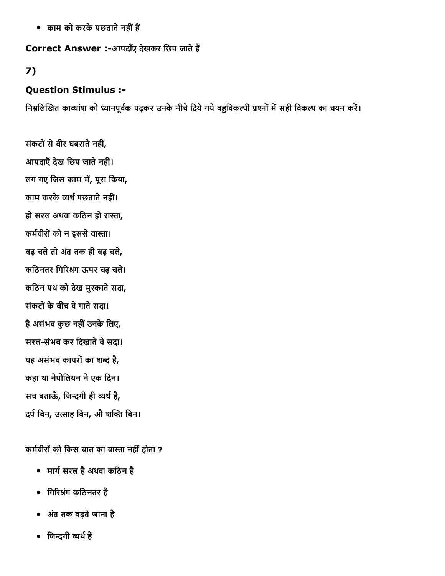• काम को करके पछताते नहीं हैं

Correct Answer :-आपदाँए देखकर छिप जाते हैं

## 7)

## Question Stimulus :

निम्नलिखित काव्यांश को ध्यानपूर्वक पढ़कर उनके नीचे दिये गये बहुविकल्पी प्रश्नों में सही विकल्प का चयन करें।

संकटों से वीर घबराते नहीं, आपदाएँ देख छिप जाते नहीं। लग गए जिस काम में, पूरा किया, काम करके व्यर्थ पछताते नहीं। हो सरल अथवा कठिन हो रास्ता, कर्मवीरों को न इससे वास्ता। बढ़ चलेतो अतंतक ही बढ़ चले, कठिनतर गिरिश्रंग ऊपर चढ़ चले। कठिन पथ को देख मुस्काते सदा, संकटोंकेबीच वेगातेसदा। है असंभव कुछ नहीं उनके लिए, सरल-संभव कर दिखाते वे सदा। यह असंभव कायरों का शब्द है, कहा था नेपोिलयन नेएक िदन। सच बताऊँ, जिन्दगी ही व्यर्थ है, दर्प बिन, उत्साह बिन, औ शक्ति बिन।

कर्मवीरों को किस बात का वास्ता नहीं होता ?

- मार्ग सरल है अथवा कठिन है
- गिरिश्रंग कठिनतर है
- अतंतक बढ़तेजाना है
- जिन्दगी व्यर्थ हैं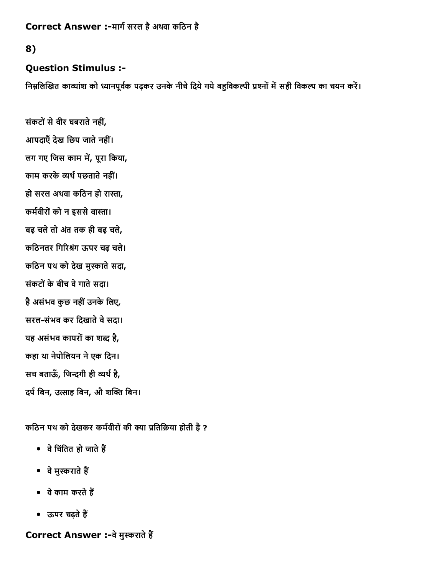Correct Answer :-मार्ग सरल है अथवा कठिन है

### 8)

### Question Stimulus :

निम्नलिखित काव्यांश को ध्यानपूर्वक पढ़कर उनके नीचे दिये गये बहुविकल्पी प्रश्नों में सही विकल्प का चयन करें।

संकटों से वीर घबराते नहीं, आपदाएँ देख छिप जाते नहीं। लग गए जिस काम में, पूरा किया, काम करके व्यर्थ पछताते नहीं। हो सरल अथवा कठिन हो रास्ता, कर्मवीरों को न इससे वास्ता। बढ़ चलेतो अतंतक ही बढ़ चले, कठिनतर गिरिश्रंग ऊपर चढ़ चले। कठिन पथ को देख मुस्काते सदा, संकटोंकेबीच वेगातेसदा। है असंभव कुछ नहीं उनके लिए, सरल-संभव कर दिखाते वे सदा। यह असंभव कायरों का शब्द है, कहा था नेपोिलयन नेएक िदन। सच बताऊँ, जिन्दगी ही व्यर्थ है, दर्प बिन, उत्साह बिन, औ शक्ति बिन।

कठिन पथ को देखकर कर्मवीरों की क्या प्रतिक्रिया होती है ?

- $\bullet$  वे चिंतित हो जाते हैं
- वे मुस्कराते हैं
- वे काम करते हैं
- ऊपर चढ़ते हैं

Correct Answer :-वे मुस्कराते हैं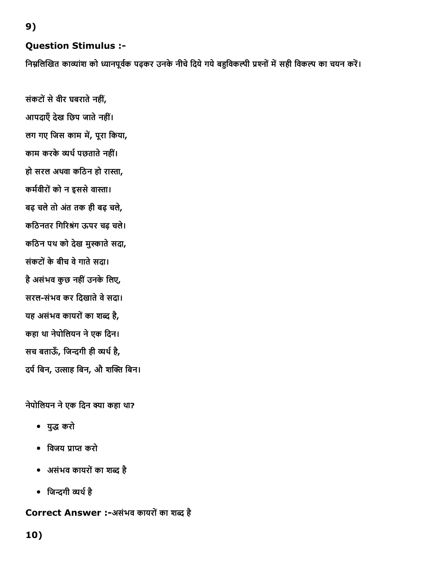9)

## Question Stimulus :

निम्नलिखित काव्यांश को ध्यानपूर्वक पढ़कर उनके नीचे दिये गये बहुविकल्पी प्रश्नों में सही विकल्प का चयन करें।

संकटों से वीर घबराते नहीं, आपदाएँ देख छिप जाते नहीं। लग गए जिस काम में, पूरा किया, काम करके व्यर्थ पछताते नहीं। हो सरल अथवा कठिन हो रास्ता, कर्मवीरों को न इससे वास्ता। बढ़ चलेतो अतंतक ही बढ़ चले, कठिनतर गिरिश्रंग ऊपर चढ़ चले। कठिन पथ को देख मुस्काते सदा, संकटोंकेबीच वेगातेसदा। है असंभव कुछ नहीं उनके लिए, सरल-संभव कर दिखाते वे सदा। यह असंभव कायरों का शब्द है, कहा था नेपोिलयन नेएक िदन। सच बताऊँ, जिन्दगी ही व्यर्थ है, दर्प बिन, उत्साह बिन, औ शक्ति बिन।

### नेपोलियन ने एक दिन क्या कहा था?

- यु‱੪ करो
- विजय प्राप्त करो
- असंभव कायरोंका श‱੪ है
- जिन्दगी व्यर्थ है

### Correct Answer :-असंभव कायरों का शब्द है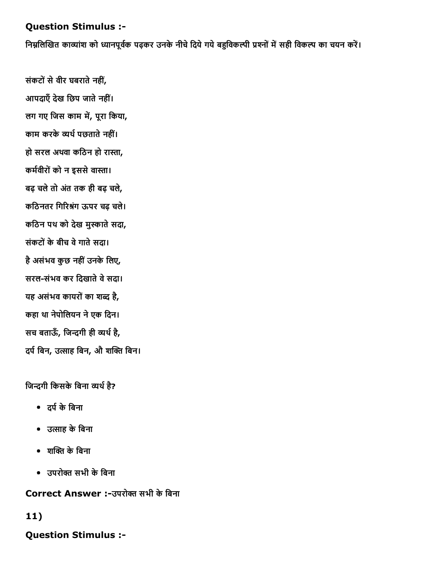### Question Stimulus :

निम्नलिखित काव्यांश को ध्यानपूर्वक पढ़कर उनके नीचे दिये गये बहुविकल्पी प्रश्नों में सही विकल्प का चयन करें।

संकटों से वीर घबराते नहीं, आपदाएँ देख छिप जाते नहीं। लग गए जिस काम में, पूरा किया, काम करके व्यर्थ पछताते नहीं। हो सरल अथवा कठिन हो रास्ता, कर्मवीरों को न इससे वास्ता। बढ़ चलेतो अतंतक ही बढ़ चले, कठिनतर गिरिश्रंग ऊपर चढ़ चले। कठिन पथ को देख मुस्काते सदा, संकटोंकेबीच वेगातेसदा। है असंभव कुछ नहीं उनके लिए, सरल-संभव कर दिखाते वे सदा। यह असंभव कायरों का शब्द है, कहा था नेपोिलयन नेएक िदन। सच बताऊँ, जिन्दगी ही व्यर्थ है, दर्प बिन, उत्साह बिन, औ शक्ति बिन।

#### जिन्दगी किसके बिना व्यर्थ है?

- दर्प के बिना
- उ㔰〼ाह केिबना
- शक्ति के बिना
- उपरोक्त सभी के बिना

Correct Answer :-उपरोक्त सभी के बिना

### 11)

Question Stimulus :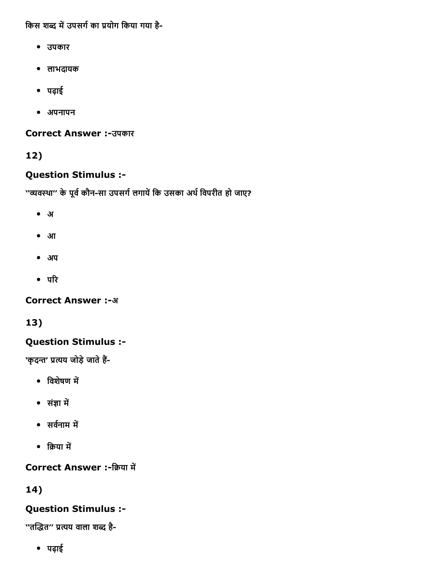किस शब्द में उपसर्ग का प्रयोग किया गया है-

- उपकार
- लाभदायक
- पढ़ाई
- अपनापन

**Correct Answer :-उपकार** 

# 12)

# Question Stimulus :

''व्यवस्था'' के पूर्व कौन-सा उपसर्ग लगायें कि उसका अर्थ विपरीत हो जाए?

- अ
- आ
- अप
- $\bullet$  परि

**Correct Answer :- अ** 

13)

# Question Stimulus :

'कृदन्त' प्रत्यय जोड़े जाते हैं-

- विशेषण में
- संㄠㄭा म″㠶
- $\bullet$  सर्वनाम में
- क्रिया में

Correct Answer :-क्रिया में

# 14)

# Question Stimulus :

''तद्धित'' प्रत्यय वाला शब्द है-

पढ़ाई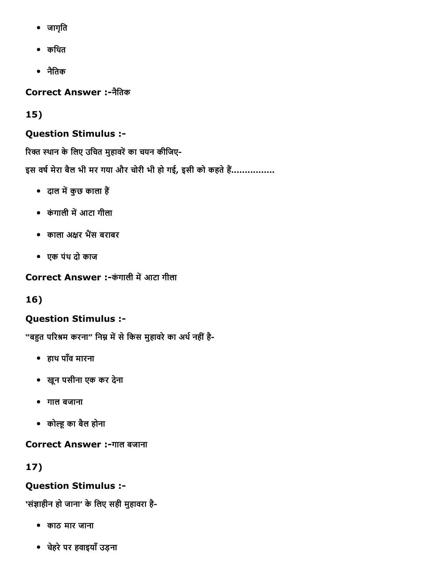- जागृित
- किथत
- नैितक

Correct Answer :नैितक

15)

# Question Stimulus :

रिक्त स्थान के लिए उचित मुहावरें का चयन कीजिए-

इस वर्ष मेरा बैल भी मर गया और चोरी भी हो गई, इसी को कहते हैं................

- दाल में कुछ काला हैं
- कंगाली में आटा गीला
- काला अक्षर भैंस बराबर
- एक पंथ दो काज

Correct Answer :-कंगाली में आटा गीला

16)

# Question Stimulus :

"बहुत परिश्रम करना" निम्न में से किस मुहावरे का अर्थ नहीं है-

- हाथ पाँव मारना
- खून पसीना एक कर देना
- गाल बजाना
- कोल्हू का बैल होना

Correct Answer :-गाल बजाना

17)

# Question Stimulus :

'संज्ञाहीन हो जाना' के लिए सही मुहावरा है-

- काठ मार जाना
- चहेरेपर हवाइयाँउड़ना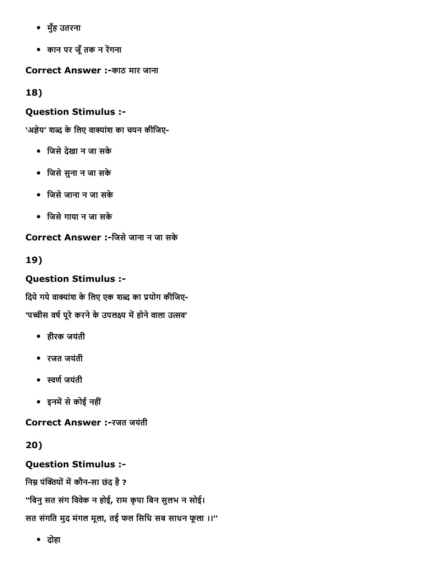- मुँह उतरना
- कान पर जूँ तक न रेंगना

Correct Answer :-काठ मार जाना

18)

# Question Stimulus :

'अज्ञेय' शब्द के लिए वाक्यांश का चयन कीजिए-

- िजसेदेखा न जा सके
- िजसेसुना न जा सके
- िजसेजाना न जा सके
- िजसेगाया न जा सके

Correct Answer :िजसेजाना न जा सके

19)

# Question Stimulus :

दिये गये वाक्यांश के लिए एक शब्द का प्रयोग कीजिए-

'पच्चीस वर्ष पूरे करने के उपलक्ष्य में होने वाला उत्सव'

- हीरक जयंती
- रजत जयंती
- ㌠ㄭण浔″जयंती
- इनम″㠶सेकोई नहीं

Correct Answer :-रजत जयंती

20)

# Question Stimulus :

निम्न पंक्तियों में कौन-सा छंद है ?

''बिनु सत संग विवेक न होई, राम कृपा बिन सुलभ न सोई।

सत संगित मुद मंगल मूला, तई फल िसिध सब साधन फूला ।।''

दोहा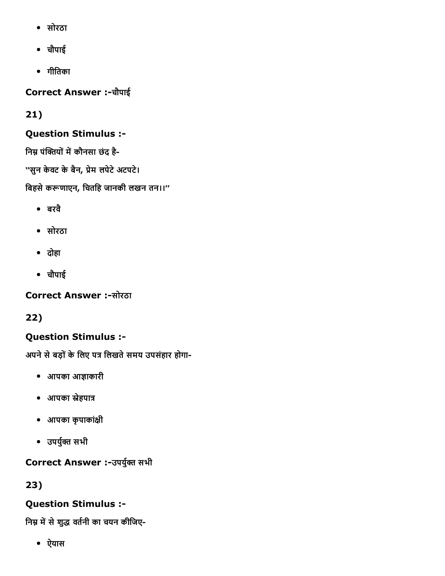- सोरठा
- चौपाई
- गीितका

Correct Answer :चौपाई

21)

# Question Stimulus :

निम्न पंक्तियों में कौनसा छंद है-

''सुन केवट के बैन, प्रेम लपेटे अटपटे।

बिहसे करूणाएन, चितहि जानकी लखन तन।।"

- बरवै
- सोरठा
- दोहा
- चौपाई

**Correct Answer :-सोरठा** 

22)

# Question Stimulus :

अपने से बड़ों के लिए पत्र लिखते समय उपसंहार होगा-

- आपका आㄠㄭाकारी
- आपका स्नेहपात्र
- आपका कृपाकांक्षी
- उपर्युक्त सभी

Correct Answer :-उपर्युक्त सभी

23)

# Question Stimulus :

निम्न में से शुद्ध वर्तनी का चयन कीजिए-

ऐयास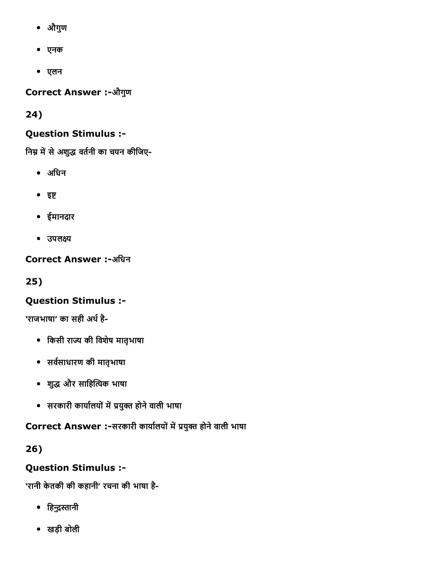- औगुण
- एनक
- एलन

Correct Answer :-औगुण

24)

## Question Stimulus :

निम्न में से अशुद्ध वर्तनी का चयन कीजिए-

- अिधन
- $•$  इष्ट
- ईमानदार
- उपलक्ष्य

**Correct Answer :-अधिन** 

25)

# Question Stimulus :

'राजभाषा' का सही अर्थ है-

- िकसी राㄠ〲 की िवशेष मातृभाषा
- सर्वसाधारण की मातृभाषा
- शु‱੪ और सािह‴㐶‰‰क भाषा
- सरकारी काया浔″लयोंम″㠶㈱‸युㄠ㔳 होनेवाली भाषा

Correct Answer :-सरकारी कार्यालयों में प्रयुक्त होने वाली भाषा

26)

# Question Stimulus :

'रानी केतकी की कहानी' रचना की भाषा है

- हिन्दुस्तानी
- खड़ी बोली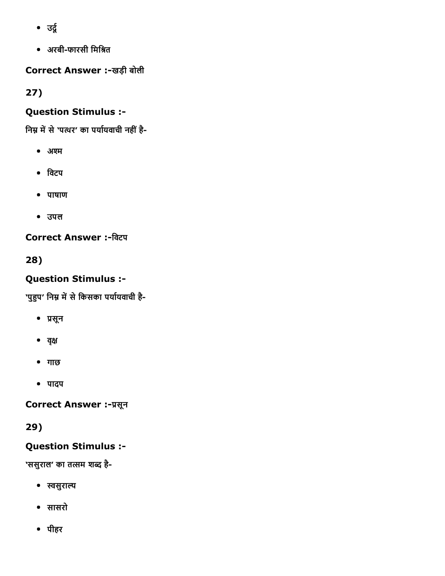- $\bullet$  उर्दू
- अरबीफारसी िमि㠱‱त

Correct Answer :-खड़ी बोली

27)

# Question Stimulus :

निम्न में से 'पत्थर' का पर्यायवाची नहीं है-

- अश्म
- िवटप
- पाषाण
- उपल

**Correct Answer :-विटप** 

28)

## Question Stimulus :

'पुहुप' निम्न में से किसका पर्यायवाची है-

- ㈱‸सून
- वृक्ष
- गाछ
- पादप

Correct Answer :- प्रसून

29)

## Question Stimulus :

'ससुराल' का तत्सम शब्द है-

- ㌠ㄭसुरा㐰〼
- सासरो
- पीहर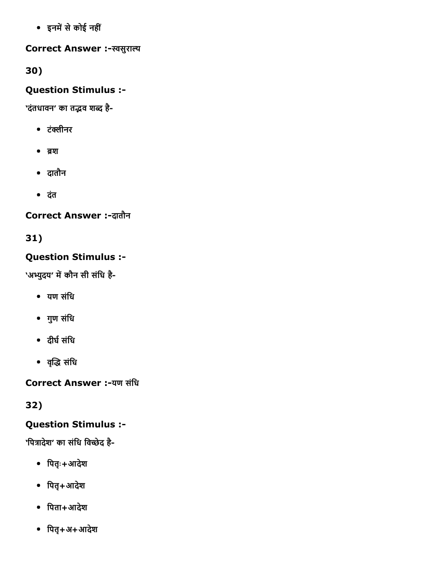इनम″㠶सेकोई नहीं

Correct Answer :-स्वसुराल्य

30)

Question Stimulus :

'दंतधावन' का तद्भव शब्द है-

- टंक्लीनर
- $^{\bullet}$  রয়
- दातौन
- दंत

Correct Answer :-दातौन

31)

# Question Stimulus :

'अभ्युदय' में कौन सी संधि है-

- यण संिध
- गुण संिध
- दीर्घ संधि
- वृद्धि संधि

Correct Answer :-यण संधि

32)

## Question Stimulus :

'पित्रादेश' का संधि विच्छेद है-

- िपतृः+आदेश
- िपतृ+आदेश
- िपता+आदेश
- िपतृ+अ+आदेश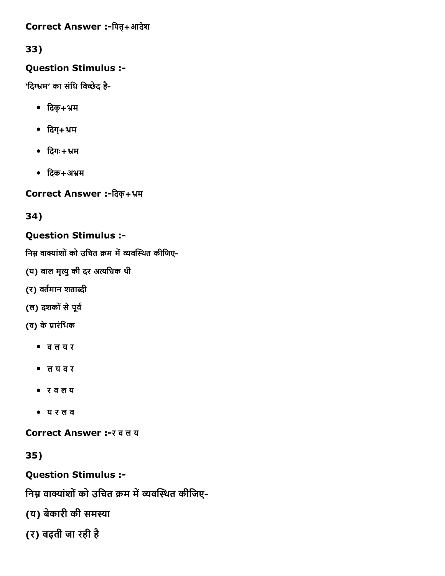### Correct Answer :-पितृ+आदेश

33)

## Question Stimulus :

'दिग्भम' का संधि विच्छेद है-

- िदक्+䈴〰म
- $\bullet$  दिग्+भ्रम
- िदगः+䈴〰म
- $\bullet$  दिक $+$ अभ्रम

Correct Answer :-दिक्+भ्रम

34)

# Question Stimulus :

निम्न वाक्यांशों को उचित क्रम में व्यवस्थित कीजिए-

- (य) बाल मृत्यु की दर अत्यधिक थी
- (र) वर्तमान शताब्दी
- (ल) दशकों से पूर्व
- (व) के प्रारंभिक
	- व ल य र
	- ल य व र
	- र व ल य
	- य र ल व

Correct Answer :- र व ल य

35)

Question Stimulus :

निम्न वाक्यांशों को उचित क्रम में व्यवस्थित कीजिए-

(य) बेकारी की समस्या

(र) बढ़ती जा रही है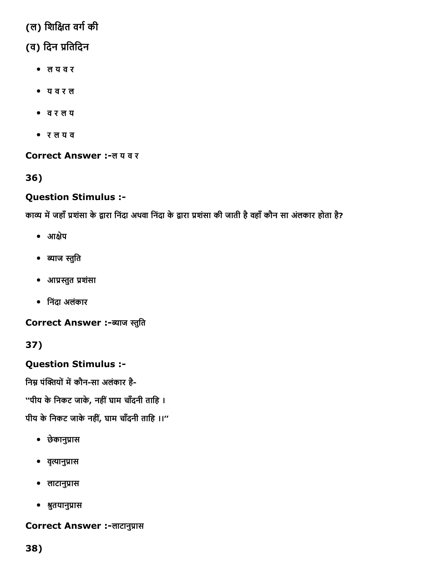# (ल) शिक्षित वर्ग की

# (व) िदन ㈱‸ितिदन

- ल य व र
- य व र ल
- व र ल य
- र ल य व

### Correct Answer :-लय वर

## 36)

## Question Stimulus :

काव्य में जहाँ प्रशंसा के द्वारा निंदा अथवा निंदा के द्वारा प्रशंसा की जाती है वहाँ कौन सा अंलकार होता है?

- आक्षेप
- ब्याज स्तुति
- आ㈱‸‰‰ुत ㈱‸शंसा
- िनंदा अलंकार

Correct Answer :-ब्याज स्तुति

37)

## Question Stimulus :

निम्न पंक्तियों में कौन-सा अलंकार है-

''पीय के निकट जाके, नहीं घाम चाँदनी ताहि ।

पीय के निकट जाके नहीं, घाम चाँदनी ताहि ।।"

- छेकानु㈱‸ास
- व‰‰ृानु㈱‸ास
- लाटानु㈱‸ास
- 㠱‱ुतयानु㈱‸ास

### Correct Answer :- लाटानुप्रास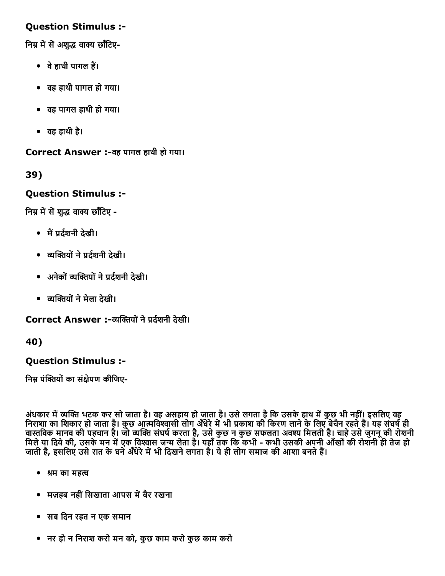### Question Stimulus :

निम्न में सें अशुद्ध वाक्य छाँटिए-

- वे हाथी पागल हैं।
- वह हाथी पागल हो गया।
- वह पागल हाथी हो गया।
- वह हाथी है।

Correct Answer :वह पागल हाथी हो गया।

39)

### Question Stimulus :

निम्न में सें शुद्ध वाक्य छाँटिए -

- मैं प्रर्दशनी देखी।
- ‰‰‴㐶ㄠ㔳योंने㈱‸द浔″शनी देखी।
- अनेकों‰‰‴㐶ㄠ㔳योंने㈱‸द浔″शनी देखी।
- ‰‰‴㐶ㄠ㔳योंनेमेला देखी।

Correct Answer :-व्यक्तियों ने प्रर्टशनी देखी।

40)

### Question Stimulus :

निम्न पंक्तियों का संक्षेपण कीजिए-

अंधकार में व्यक्ति भटक कर सो जाता है। वह असहाय हो जाता है। उसे लगता है कि उसके हाथ में कुछ भी नहीं। इसलिए वह निराशा का शिकार हो जाता है। कुछ आत्मविश्वासी लोग अँधेरे में भी प्रकाश की किरण लाने के लिए बेचैन रहते हैं। यह संघर्ष ही वास्तविक मानव की पहचान है। जो व्यक्ति संघर्ष करता है, उसे कुछ न कुछ सफलता अवश्य मिलती है। चाहे उसे जुगनू की रोशनी मिले या दिये की, उसके मन में एक विश्वास जन्म लेता है। यहाँ तक कि कभी - कभी उसकी अपनी आँखों की रोशनी ही तेज हो जाती है, इसलिए उसे रात के घने अँधेरे में भी दिखने लगता है। ये ही लोग समाज की आशा बनते हैं।

- $\bullet$  श्रम का महत्व
- मज़हब नहीं सिखाता आपस में बैर रखना
- सब िदन रहत न एक समान
- नर हो न िनराश करो मन को, कुछ काम करो कुछ काम करो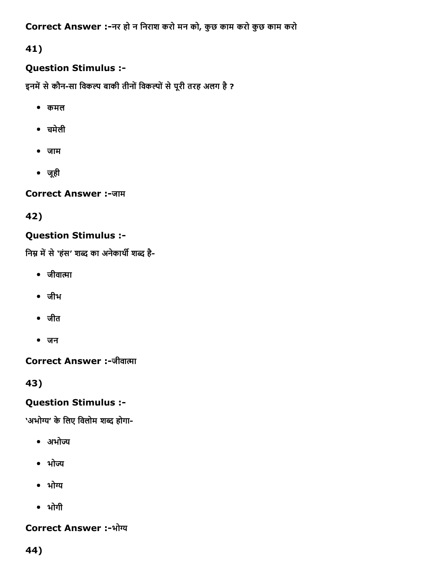Correct Answer :नर हो न िनराश करो मन को, कुछ काम करो कुछ काम करो

41)

# Question Stimulus :

इनमें से कौन-सा विकल्प बाकी तीनों विकल्पों से पूरी तरह अलग है ?

- कमल
- चमेली
- जाम
- जूही

Correct Answer :-जाम

42)

# Question Stimulus :

निम्न में से 'हंस' शब्द का अनेकार्थी शब्द है-

- $\bullet$  जीवात्मा
- जीभ
- जीत
- जन

Correct Answer :-जीवात्मा

43)

# Question Stimulus :

'अभोग्य' के लिए विलोम शब्द होगा-

- अभोज्य
- भोज्य
- भोग्य
- भोगी

# Correct Answer :-भोग्य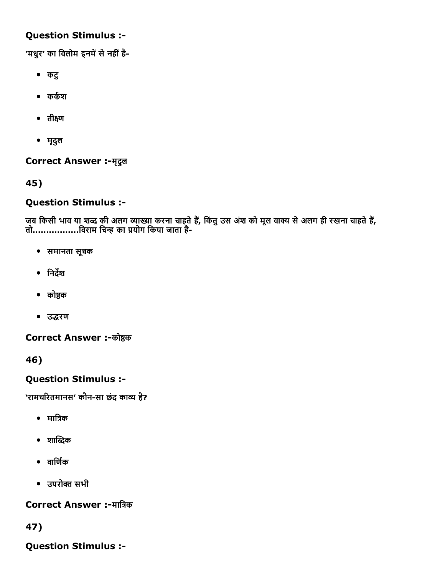## Question Stimulus :

'मधुर' का विलोम इनमें से नहीं है-

- कटु
- $\bullet$  कर्कश
- $\bullet$  तीक्ष्ण
- मृदुल

**Correct Answer :- मृदुल** 

45)

### Question Stimulus :

जब किसी भाव या शब्द की अलग व्याख्या करना चाहते है, किंतु उस अशं को मूल वाक्य से अलग ही रखना चाहते है, तो.................विराम चिन्ह का प्रयोग किया जाता है-

- समानता सूचक
- निर्देश
- कोष्ठक
- उद्धरण

### Correct Answer :-कोष्ठक

46)

## Question Stimulus :

'रामचरितमानस' कौन-सा छंद काव्य है?

- मात्रिक
- $\bullet$  शाब्दिक
- $\bullet$  anota
- उपरोㄠ㔳 सभी

### Correct Answer :-मात्रिक

47)

Question Stimulus :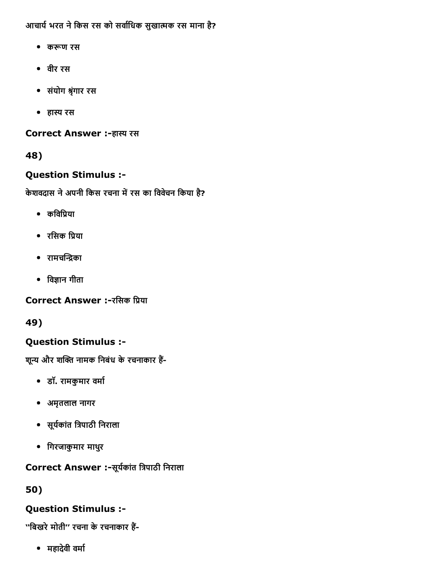आचार्य भरत ने किस रस को सर्वाधिक सुखात्मक रस माना है?

- करूण रस
- वीर रस
- संयोग 㠱‱ृंगार रस
- हास्य रस

Correct Answer :-हास्य रस

48)

# Question Stimulus :

केशवदास ने अपनी किस रचना में रस का विवेचन किया है?

- कविप्रिया
- रसिक प्रिया
- रामचन्द्रिका
- विज्ञान गीता

Correct Answer :-रसिक प्रिया

49)

# Question Stimulus :

शून्य और शक्ति नामक निबंध के रचनाकार हैं-

- डॉ. रामकुमार वर्मा
- अमृतलाल नागर
- सूर्यकांत त्रिपाठी निराला
- िगरजाकुमार माथरु

# Correct Answer :-सूर्यकांत त्रिपाठी निराला

50)

# Question Stimulus :

''बिखरे मोती'' रचना के रचनाकार हैं-

• महादेवी वर्मा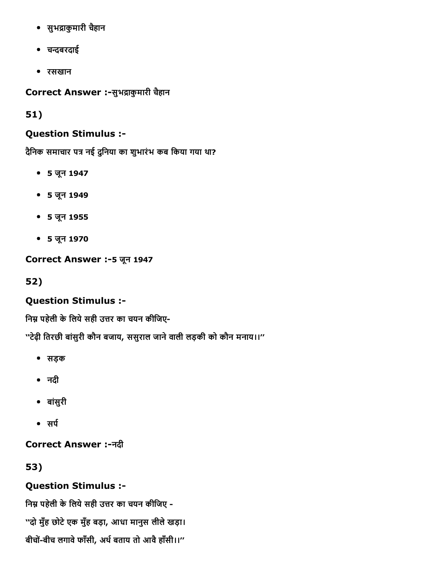- सुभद्राकुमारी चैहान
- चꛕबरदाई
- रसखान

Correct Answer :-सुभद्राकुमारी चैहान

51)

### Question Stimulus :

दैनिक समाचार पत्र नई दुनिया का शुभारंभ कब किया गया था?

- 5 जून 1947
- 5 जून 1949
- 5 जून 1955
- 5 जून 1970

### Correct Answer :- 5 जून 1947

52)

## Question Stimulus :

निम्न पहेली के लिये सही उत्तर का चयन कीजिए-

''टेढ़ी ितरछी बांसुरी कौन बजाय, ससुराल जानेवाली लड़की को कौन मनाय।।''

- सड़क
- नदी
- बांसुरी
- ∙ सर्प

Correct Answer :नदी

53)

## Question Stimulus :

निम्न पहेली के लिये सही उत्तर का चयन कीजिए -''दो मुँह छोटेएक मुँह बड़ा, आधा मानुस लीलेखड़ा। बीचों-बीच लगावे फाँसी, अर्थ बताय तो आवै हाँसी।।"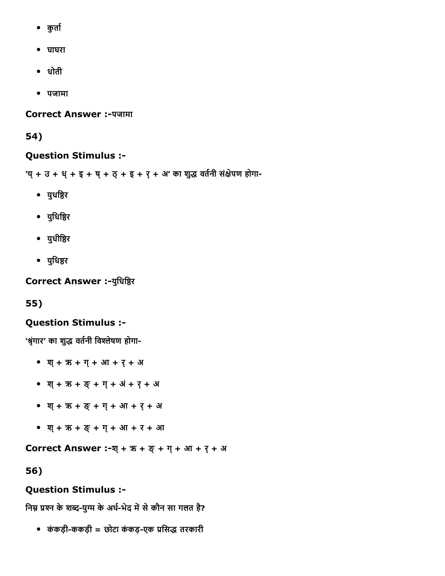- कुर्ता
- घाघरा
- धोती
- पजामा

**Correct Answer :-पजामा** 

54)

#### Question Stimulus :

'य् + उ + ध् + इ + ष् + ठ् + इ + र् + अ' का शुद्ध वर्तनी संक्षेपण होगा-

- युधष्ठिर
- युधिष्ठिर
- युधीष्ठिर
- युधिष्ठर

Correct Answer :- युधिष्ठिर

55)

### Question Stimulus :

'श्रृंगार' का शुद्ध वर्तनी विश्लेषण होगा-

- श्+ ऋ + ग्+ आ + र्+ अ
- श्+ ऋ + ङ्+ ग्+ अं+ र्+ अ
- श्+ ऋ + ङ्+ ग्+ आ + र्+ अ
- श्+ ऋ + ङ्+ ग्+ आ + र + आ

**Correct Answer :-श्+ ऋ + ङ् + ग् + आ + र् + अ** 

56)

## Question Stimulus :

निम्न प्रश्न के शब्द-युग्म के अर्थ-भेद में से कौन सा गलत है?

• कंकड़ी-ककड़ी = छोटा कंकड़-एक प्रसिद्ध तरकारी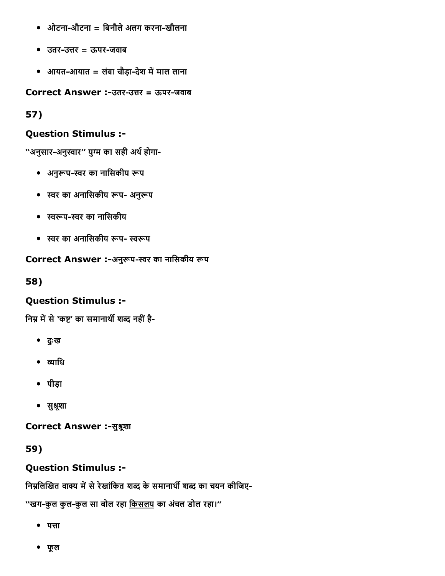- ओटना-औटना = बिनौले अलग करना-खौलना
- उतर-उत्तर = ऊपर-जवाब
- आयत-आयात = लंबा चौड़ा-देश में माल लाना

Correct Answer :-उतर-उत्तर = ऊपर-जवाब

57)

## Question Stimulus :

''अनुसार-अनुस्वार'' युग्म का सही अर्थ होगा-

- अनुरूप-स्वर का नासिकीय रूप
- स्वर का अनासिकीय रूप- अनुरूप
- ㌠ㄭㄊ橔प㌠ㄭर का नािसकीय
- स्वर का अनासिकीय रूप- स्वरूप

## Correct Answer :-अनुरूप-स्वर का नासिकीय रूप

58)

# Question Stimulus :

निम्न में से 'कष्ट' का समानार्थी शब्द नहीं है-

- दुःख
- व्याधि
- पीड़ा
- सुश्रूशा

Correct Answer :-सुश्रूशा

59)

# Question Stimulus :

निम्नलिखित वाक्य में से रेखांकित शब्द के समानार्थी शब्द का चयन कीजिए-

''खग-कुल कुल-कुल सा बोल रहा किसलय का अंचल डोल रहा।''

- $\bullet$  पत्ता
- फूल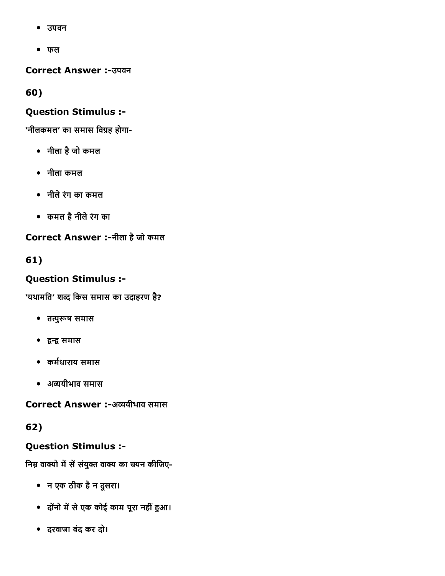- उपवन
- फल

Correct Answer :उपवन

60)

# Question Stimulus :

'नीलकमल' का समास विग्रह होगा-

- नीला हैजो कमल
- नीला कमल
- नीलेरंग का कमल
- कमल हैनीलेरंग का

Correct Answer :-नीला है जो कमल

61)

# Question Stimulus :

'यथामति' शब्द किस समास का उदाहरण है?

- तत्पुरूष समास
- ㈠ㄭ㐠ㄭ㈠ㄭ समास
- कर्मधाराय समास
- अ‰‰यीभाव समास

Correct Answer :-अव्ययीभाव समास

62)

# Question Stimulus :

निम्न वाक्यो में सें संयुक्त वाक्य का चयन कीजिए-

- न एक ठीक हैन दूसरा।
- दोंनो में से एक कोई काम पूरा नहीं हुआ।
- दरवाजा बंद कर दो।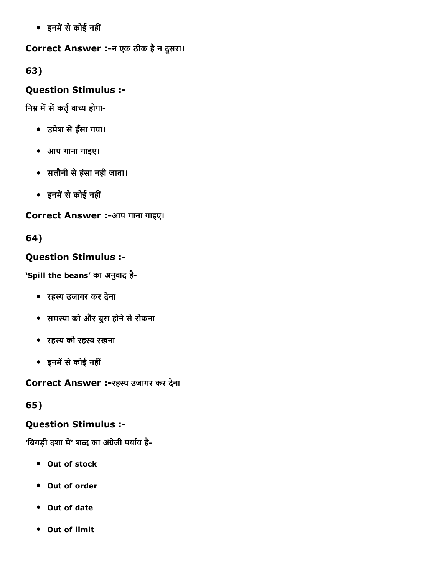इनम″㠶सेकोई नहीं

### Correct Answer :न एक ठीक हैन दूसरा।

63)

## Question Stimulus :

निम्न में सें कर्तृ वाच्य होगा-

- उमेश सें हँसा गया।
- आप गाना गाइए।
- सलौनी सेहंसा नही जाता।
- इनम″㠶सेकोई नहीं

## Correct Answer :-आप गाना गाइए।

# 64)

# Question Stimulus :

'Spill the beans' का अनुवाद है

- रहस्य उजागर कर देना
- समस्या को और बुरा होने से रोकना
- रहस्य को रहस्य रखना
- इनम″㠶सेकोई नहीं

Correct Answer :-रहस्य उजागर कर देना

# 65)

# Question Stimulus :

'बिगड़ी दशा में' शब्द का अंग्रेजी पर्याय है-

- Out of stock
- Out of order
- Out of date
- Out of limit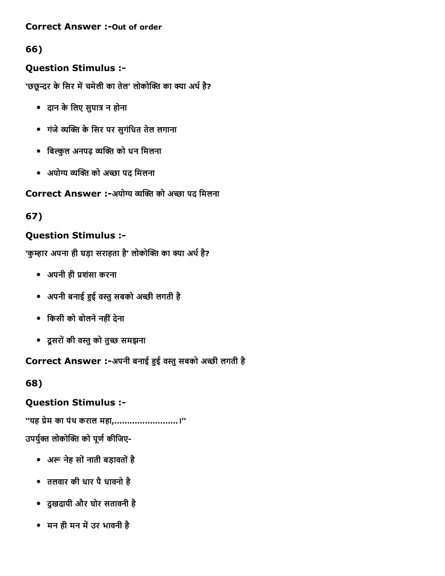### **Correct Answer :- Out of order**

# 66)

# Question Stimulus :

'छछून्दर के सिर में चमेली का तेल' लोकोक्ति का क्या अर्थ है?

- दान केिलए सुपा㤹㔶 न होना
- गंजे‰‰‴㐶ㄠ㔳 केिसर पर सुगंिधत तेल लगाना
- बिल्कुल अनपढ़ व्यक्ति को धन मिलना
- अयोग्य व्यक्ति को अच्छा पद मिलना

Correct Answer :-अयोग्य व्यक्ति को अच्छा पद मिलना

# 67)

# Question Stimulus :

'कुम्हार अपना ही घड़ा सराहता है' लोकोक्ति का क्या अर्थ है?

- अपनी ही ㈱‸शंसा करना
- अपनी बनाई ‰〷ई व‰‰ुसबको अꛕी लगती है
- िकसी को बोलनेनहींदेना
- दूसरोंकी व‰‰ुको तुꛕ समझना

# Correct Answer :-अपनी बनाई हुई वस्तु सबको अच्छी लगती है

68)

# Question Stimulus :

''यह ㈱‸ेम का पंथ कराल महा,…………………….।'' उपर्युक्त लोकोक्ति को पूर्ण कीजिए-

- अरू नेह सों नाती बड़ावतों है
- तलवार की धार पैधावनो है
- दुखदायी और घोर सतावनी है
- मन ही मन में उर भावनी है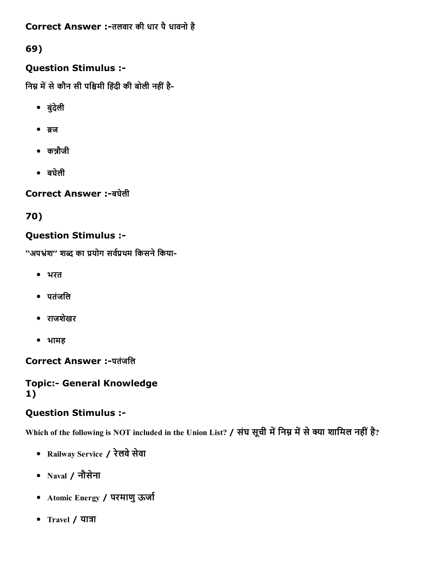Correct Answer :-तलवार की धार पै धावनो है

69)

# Question Stimulus :

निम्न में से कौन सी पश्चिमी हिंदी की बोली नहीं है-

- बुंदेली
- $\bullet$  ब्रज
- कन्नौजी
- बघेली

Correct Answer :बघेली

70)

# Question Stimulus :

''अपभ्रंश'' शब्द का प्रयोग सर्वप्रथम किसने किया-

- भरत
- पतंजिल
- राजशेखर
- भामह

Correct Answer :-पतंजलि

### **Topic:- General Knowledge** 1)

# Question Stimulus :

Which of the following is NOT included in the Union List? / संघ सूची में निम्न में से क्या शामिल नहीं है?

- Railway Service / रेलवे सेवा
- Naval / नौसेना
- Atomic Energy / परमाणु ऊर्जा
- Travel / यात्रा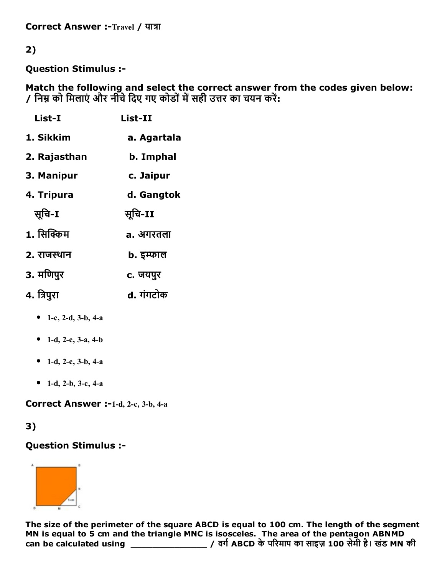Correct Answer :-Travel / यात्रा

## 2)

Question Stimulus :

Match the following and select the correct answer from the codes given below: / निम्न को मिलाएं और नीचे दिए गए कोडों में सही उत्तर का चयन करें:

| List-I               | List-II     |
|----------------------|-------------|
| 1. Sikkim            | a. Agartala |
| 2. Rajasthan         | b. Imphal   |
| 3. Manipur           | c. Jaipur   |
| 4. Tripura           | d. Gangtok  |
| सुचि-I               | सूचि-II     |
| 1. सिक्किम           | a. अगरतला   |
| 2. राजस्थान          | b. इम्फाल   |
| 3. मणिपुर            | c. जयपुर    |
| 4. त्रिपुरा          | d. गंगटोक   |
| • 1-c, 2-d, 3-b, 4-a |             |

- 
- 1-d, 2-c, 3-a, 4-b
- 1-d, 2-c, 3-b, 4-a
- 1-d, 2-b, 3-c, 4-a

Correct Answer :-1-d, 2-c, 3-b, 4-a

### 3)

### Question Stimulus :



The size of the perimeter of the square ABCD is equal to 100 cm. The length of the segment MN is equal to 5 cm and the triangle MNC is isosceles. The area of the pentagon ABNMD can be calculated using \_\_\_\_\_\_\_\_\_\_\_\_\_\_ / वग浔″ABCD केप‱ⴠरमाप का साइज़ 100 सेमी है। खडंMN की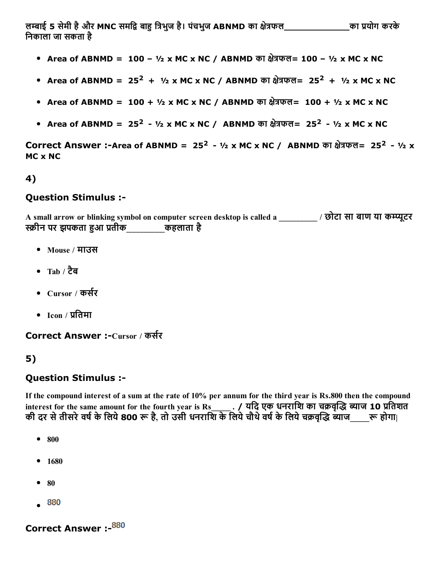ल㐰〼ाई 5 सेमी हैऔर MNC समि㈠ㄭ बा‰〷 ि㤹㔶भुज है। पंचभुज ABNMD का 〼੭े㤹㔶फल\_\_\_\_\_\_\_\_\_\_\_\_का ㈱‸योग करके िनकाला जा सकता है

- Area of ABNMD = 100  $\frac{1}{2}$  x MC x NC / ABNMD का क्षेत्रफल= 100  $\frac{1}{2}$  x MC x NC
- Area of ABNMD = 25<sup>2</sup> + ½ x MC x NC / ABNMD का क्षेत्रफल= 25<sup>2</sup> + ½ x MC x NC
- Area of ABNMD = 100 +  $\frac{1}{2}$  x MC x NC / ABNMD का क्षेत्रफल= 100 +  $\frac{1}{2}$  x MC x NC
- Area of ABNMD =  $25^2 \frac{1}{2} \times MC \times NC /$  ABNMD का क्षेत्रफल=  $25^2 \frac{1}{2} \times MC \times NC$

Correct Answer :-Area of ABNMD = 25<sup>2</sup> - ½ x MC x NC / ABNMD का क्षेत्रफल= 25<sup>2</sup> - ½ x MC x NC

#### 4)

#### Question Stimulus :

A small arrow or blinking symbol on computer screen desktop is called a and a singled a strategy of  $\frac{1}{2}$  and  $\frac{1}{2}$ स्क्रीन पर झपकता हुआ प्रतीक कहलाता है

- Mouse / माउस
- Tab  $/$  टैब
- Cursor / कर्सर
- $\bullet$  Icon / प्रतिमा

Correct Answer :-Cursor / कर्सर

### 5)

#### Question Stimulus :

If the compound interest of a sum at the rate of 10% per annum for the third year is Rs.800 then the compound interest for the same amount for the fourth year is Rs\_\_\_\_\_\_ . / यदि एक धनराशि का चक्रवृद्धि ब्याज 10 प्रतिशत की दर से तीसरे वर्ष के लिये 800 रू है, तो उसी धनराशि के लिये चौथे वर्ष के लिये चक्रवृद्धि ब्याज\_\_\_\_\_\_\_\_\_\_\_\_\_\_\_

- $800$
- $1680$
- $80$
- $\bullet$  880

Correct Answer :- 880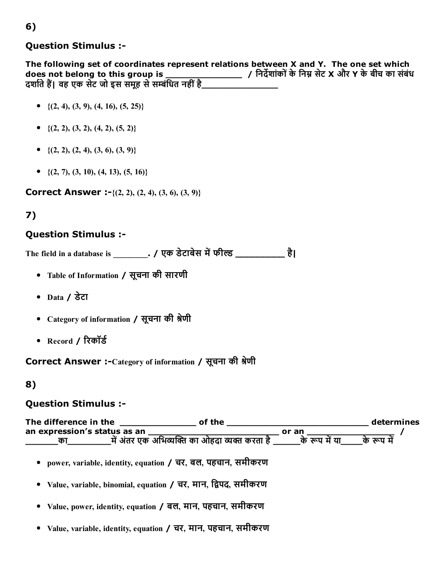### Question Stimulus :

The following set of coordinates represent relations between X and Y. The one set which does not belong to this group is \_\_\_\_\_\_\_\_\_\_\_\_\_\_ / िनद㠹ㄱशांकोंकेिनㄠ㔸 सेट X और Y केबीच का संबंध दर्शाते हैं। वह एक सेट जो इस समूह से सम्बंधित नहीं है

- $\{(2, 4), (3, 9), (4, 16), (5, 25)\}$
- $\bullet$  {(2, 2), (3, 2), (4, 2), (5, 2)}
- $\bullet \{ (2, 2), (2, 4), (3, 6), (3, 9) \}$
- $\bullet$  {(2, 7), (3, 10), (4, 13), (5, 16)}

**Correct Answer :-** $\{(2, 2), (2, 4), (3, 6), (3, 9)\}$ 

## 7)

#### Question Stimulus :

The field in a database is \_\_\_\_\_\_\_\_. / एक डेटाबेस में फील्ड \_\_\_\_\_\_\_\_\_\_\_\_\_ है।

- Table of Information / सूचना की सारणी
- Data / डेटा
- Category of information / सूचना की श्रेणी
- Record / रिकॉर्ड

Correct Answer :-Category of information / सूचना की श्रेणी

#### 8)

#### Question Stimulus :



Value, variable, identity, equation / चर, मान, पहचान, समीकरण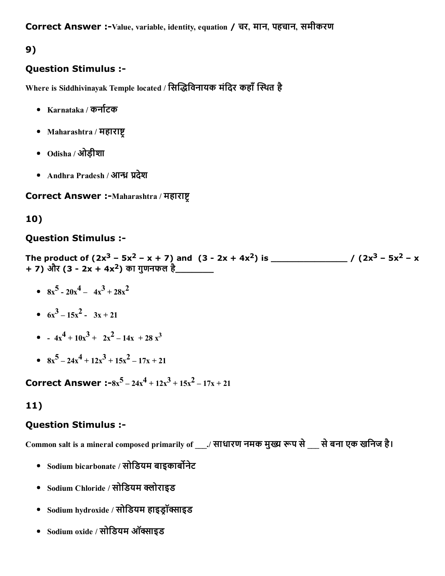Correct Answer :-Value, variable, identity, equation / चर, मान, पहचान, समीकरण

# 9)

### Question Stimulus :

Where is Siddhivinayak Temple located / सिद्धिविनायक मंदिर कहाँ स्थित है

- $\bullet$  Karnataka / कर्नाटक
- Maharashtra / महाराष्ट
- Odisha / ओड़ीशा
- Andhra Pradesh / आन्ध्र प्रदेश

Correct Answer :-Maharashtra / महाराष्ट

### 10)

### Question Stimulus :

The product of (2x <sup>3</sup> – 5x <sup>2</sup> – x + 7) and (3 2x + 4x <sup>2</sup>) is \_\_\_\_\_\_\_\_\_\_\_\_\_\_ / (2x <sup>3</sup> – 5x <sup>2</sup> – x + 7) और (3 - 2x + 4x<sup>2</sup>) का गुणनफल है\_\_\_\_\_\_\_\_

- $8x^5 20x^4 4x^3 + 28x^2$
- $6x^3 15x^2 3x + 21$
- $-4x^4+10x^3+2x^2-14x+28x^3$
- $8x^5 24x^4 + 12x^3 + 15x^2 17x + 21$

Correct Answer :- $8x^5 - 24x^4 + 12x^3 + 15x^2 - 17x + 21$ 

## 11)

### Question Stimulus :

Common salt is a mineral composed primarily of \_\_\_./ साधारण नमक मुख्य रूप से \_\_ से बना एक खनिज है।

- Sodium bicarbonate / सोडियम बाइकार्बोनेट
- Sodium Chloride / सोडियम क्लोराइड
- $\bullet$  Sodium hydroxide / सोडियम हाइडॉक्साइड
- Sodium oxide / सोडियम ऑक्साइड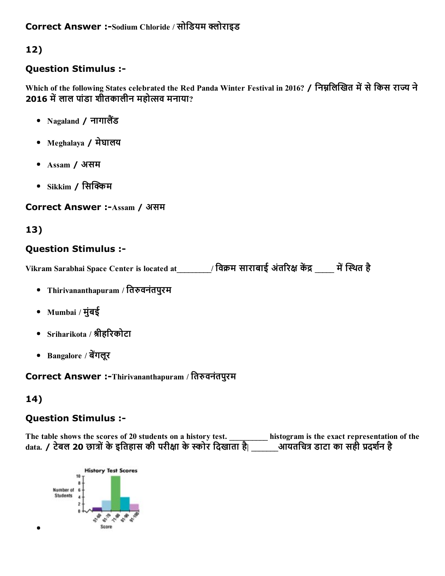### Correct Answer :-Sodium Chloride / सोडियम क्लोराइड

# 12)

### Question Stimulus :

Which of the following States celebrated the Red Panda Winter Festival in 2016? / निम्नलिखित में से किस राज्य ने 2016 में लाल पांडा शीतकालीन महोत्सव मनाया?

- Nagaland  $/$  नागालैंड
- Meghalaya / मेघालय
- Assam / असम
- $\bullet$  Sikkim / सिक्किम

#### Correct Answer :- Assam / असम

### 13)

### Question Stimulus :

Vikram Sarabhai Space Center is located at \_\_\_\_\_\_\_\_\_/ विक्रम साराबाई अंतरिक्ष केंद्र यों स्थित है

- Thirivananthapuram / तिरुवनंतपुरम
- Mumbai / मुंबई
- Sriharikota / श्रीहरिकोटा
- Bangalore / बेंगलूर

Correct Answer :-Thirivananthapuram / तिरुवनंतपुरम

## 14)

### Question Stimulus :

The table shows the scores of 20 students on a history test. \_\_\_\_\_\_\_\_\_\_\_ histogram is the exact representation of the data. / टेबल 20 छात्रों के इतिहास की परीक्षा के स्कोर दिखाता है| \_\_\_\_\_\_आयतचित्र डाटा का सही प्रदर्शन है

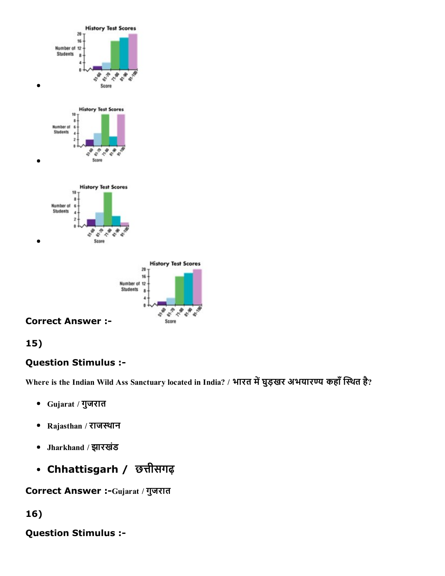





# 15)

# Question Stimulus :

Where is the Indian Wild Ass Sanctuary located in India? / भारत में घुड़खर अभयारण्य कहाँ स्थित है?

- Gujarat / गुजरात
- Rajasthan / राजस्थान
- Jharkhand / झारखंड
- Chhattisgarh / छत्तीसगढ़

Correct Answer :- Gujarat / गुजरात

### 16)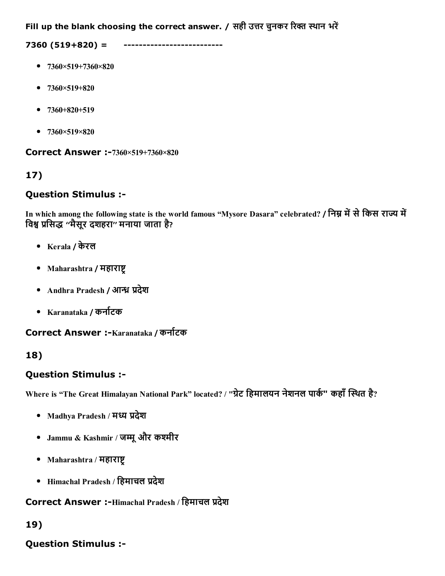Fill up the blank choosing the correct answer. / सही उत्तर चुनकर रिक्त स्थान भरें

7360 (519+820) =

- $\bullet$  7360×519+7360×820
- $-7360\times519+820$
- $-7360+820+519$
- $7360 \times 519 \times 820$

Correct Answer :-7360×519+7360×820

# 17)

### Question Stimulus :

In which among the following state is the world famous "Mysore Dasara" celebrated? / निम्न में से किस राज्य में विश्व प्रसिद्ध ''मैसूर दशहरा'' मनाया जाता है?

- Kerala / केरल
- Maharashtra / महाराष्ट्
- Andhra Pradesh / आन्ध्र प्रदेश
- Karanataka / कना浔″टक

Correct Answer :-Karanataka / कर्नाटक

## 18)

### Question Stimulus :

Where is "The Great Himalayan National Park" located? / "ग्रेट हिमालयन नेशनल पार्क" कहाँ स्थित है?

- Madhya Pradesh / मध्य प्रदेश
- Jammu & Kashmir / जम्मू और कश्मीर
- Maharashtra / महाराष्ट्
- Himachal Pradesh / हिमाचल प्रदेश

## Correct Answer :-Himachal Pradesh / हिमाचल प्रदेश

## 19)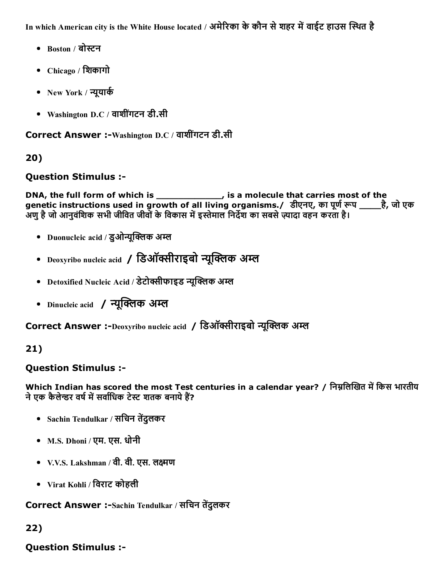In which American city is the White House located / अमेरिका के कौन से शहर में वाईट हाउस स्थित है

- Boston / बोस्टन
- Chicago / िशकागो
- New York / न्यूयार्क
- Washington D.C / वाशीगंटन डी.सी

Correct Answer :-Washington D.C / वाशींगटन डी.सी

# 20)

## Question Stimulus :

DNA, the full form of which is \_\_\_\_\_\_\_\_\_\_\_\_, is a molecule that carries most of the genetic instructions used in growth of all living organisms./ डीएनए, का पूर्ण रूप \_\_\_\_है, जो एक अणु है जो आनुवंशिक सभी जीवित जीवों के विकास में इस्तेमाल निर्देश का सबसे ज़्यादा वहन करता है।

- Duonucleic acid / इओन्यूक्लिक अम्ल
- Deoxyribo nucleic acid / डिऑक्सीराइबो न्यूक्लिक अम्ल
- Detoxified Nucleic Acid / डेटोक्सीफाइड न्यक्लिक अम्ल
- Dinucleic acid / न्युक्लिक अम्ल

Correct Answer :-Deoxyribo nucleic acid / डिऑक्सीराइबो न्यक्लिक अम्ल

# 21)

## Question Stimulus :

Which Indian has scored the most Test centuries in a calendar year? / निम्नलिखित में किस भारतीय ने एक कैलेन्डर वर्ष में सर्वाधिक टेस्ट शतक बनाये हैं?

- Sachin Tendulkar / सचिन तेंदुलकर
- M.S. Dhoni / एम. एस. धोनी
- V.V.S. Lakshman / वी. वी. एस. लक्ष्मण
- Virat Kohli / िवराट कोहली

Correct Answer :-Sachin Tendulkar / सचिन तेंदुलकर

# 22)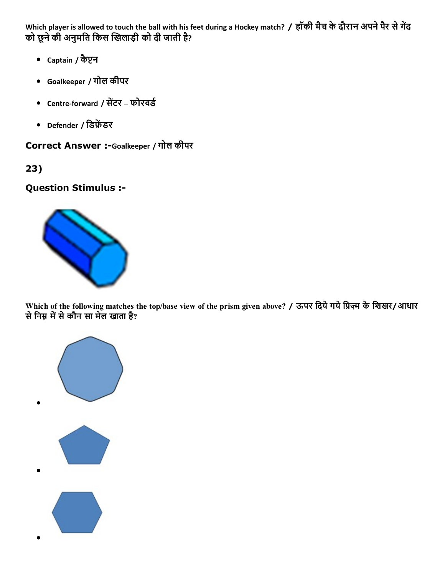Which player is allowed to touch the ball with his feet during a Hockey match? / हॉकी मैच के दौरान अपने पैर से गेंद को छूने की अनुमति किस खिलाड़ी को दी जाती है?

- Captain / कैप्टन
- Goalkeeper / गोल कीपर
- Centre-forward / सेंटर फोरवर्ड
- Defender / डिफ़ेंडर

Correct Answer :-Goalkeeper / गोल कीपर

23)

Question Stimulus :



Which of the following matches the top/base view of the prism given above? / ऊपर दिये गये प्रिज़्म के शिखर/आधार से निम्न में से कौन सा मेल खाता है?

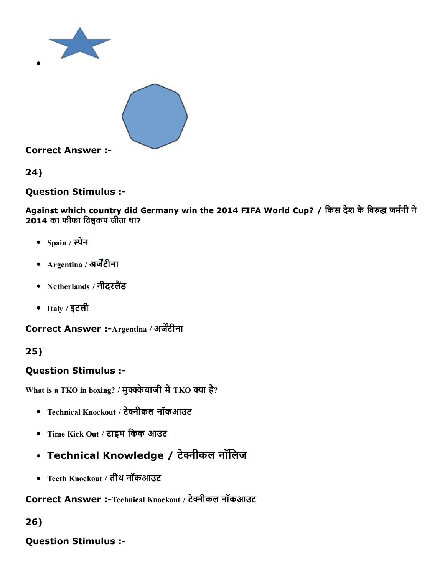



Correct Answer :

24)

Question Stimulus :

Against which country did Germany win the 2014 FIFA World Cup? / किस देश के विरुद्ध जर्मनी ने  $2014$  का फीफा विश्वकप जीता था?

- Spain / स्पेन
- Argentina / अर्जेंटीना
- Netherlands / नीदरलैंड
- Italy / इटली

Correct Answer :-Argentina / अर्जेंटीना

25)

# Question Stimulus :

What is a TKO in boxing? / मुक्केबाजी में TKO क्या है?

- Technical Knockout / टेक्नीकल नॉकआउट
- Time Kick Out / टाइम िकक आउट
- Technical Knowledge / टेक्नीकल नॉलिज
- Teeth Knockout / तीथ नॉकआउट

Correct Answer :-Technical Knockout / टेक्नीकल नॉकआउट

26)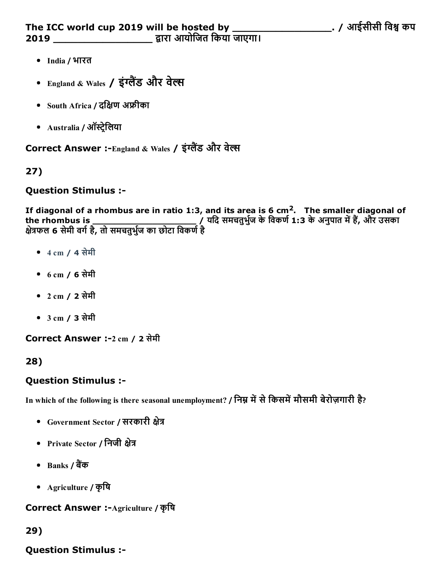- India / भारत
- England & Wales / इंग्लैंड और वेल्स
- South Africa / दक्षिण अफ्रीका
- Australia / ऑस्ट्रेलिया

Correct Answer :-England & Wales / इंग्लैंड और वेल्स

## 27)

### Question Stimulus :

If diagonal of a rhombus are in ratio 1:3, and its area is 6 cm<sup>2</sup>. The smaller diagonal of the rhombus is \_\_\_\_\_\_\_\_\_\_\_\_\_\_\_\_\_\_\_ / यिद समचतुभु浔″ज केिवकण浔″1:3 केअनुपात म″㠶ह〰㰊, और उसका योउँ गाउँ गाउँ गाउँ छ।<br>क्षेत्रफल 6 सेमी वर्ग है, तो समचतुर्भुज का छोटा विकर्ण है

- 4 cm / 4 सेमी
- 6 cm / 6 सेमी
- 2 cm / 2 सेमी
- 3 cm / 3 सेमी

Correct Answer :2 cm / 2 सेमी

## 28)

## Question Stimulus :

In which of the following is there seasonal unemployment? / निम्न में से किसमें मौसमी बेरोज़गारी है?

- Government Sector / सरकारी क्षेत्र
- Private Sector / निजी क्षेत्र
- Banks / बैंक
- Agriculture / कृिष

Correct Answer :-Agriculture / कृषि

## 29)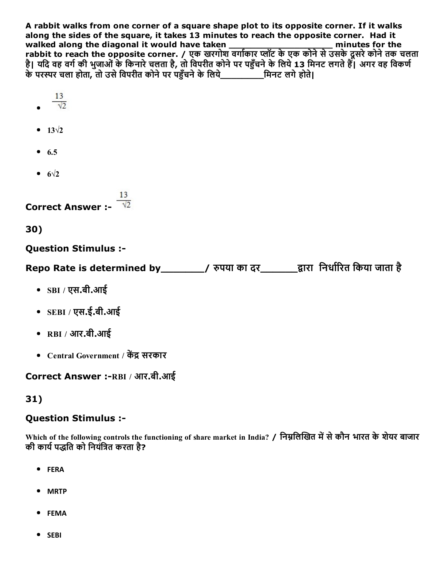A rabbit walks from one corner of a square shape plot to its opposite corner. If it walks along the sides of the square, it takes 13 minutes to reach the opposite corner. Had it walked along the diagonal it would have taken \_\_\_\_\_\_\_\_\_\_\_\_\_\_\_\_\_\_\_ minutes for the rabbit to reach the opposite corner. / एक खरगोश वर्गाकार प्लॉट के एक कोने से उसके दूसरे कोने तक चलता है। यदि वह वर्ग की भुजाओं के किनारे चलता है, तो विपरीत कोने पर पहुँचने के लिये 13 मिनट लगते हैं। अगर वह विकर्ण केपर‰‰र चला होता, तो उसेिवपरीत कोनेपर प‰〷ँचनेकेिलये\_\_\_\_\_\_\_\_िमनट लगेहोते|

- 13  $\frac{13}{\sqrt{2}}$
- $13\sqrt{2}$
- $6.5$
- $\bullet$  6 $\sqrt{2}$

Correct Answer :

30)

Question Stimulus :

Repo Rate is determined by\_\_\_\_\_\_\_\_/ रुपया का दर\_\_\_\_\_\_\_द्वारा निर्धारित किया जाता है

- SBI / एस.बी.आई
- SEBI / एस.ई.बी.आई
- RBI / आर.बी.आई
- Central Government / केंद्र सरकार

Correct Answer :- RBI / आर.बी.आई

## 31)

### Question Stimulus :

Which of the following controls the functioning of share market in India? / निम्नलिखित में से कौन भारत के शेयर बाजार की कार्य पद्धति को नियंत्रित करता है?

- FERA
- MRTP
- FEMA
- SEBI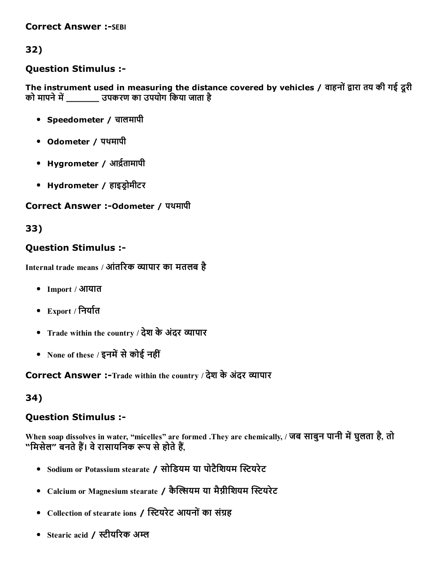#### **Correct Answer :-SEBI**

## 32)

### Question Stimulus :

The instrument used in measuring the distance covered by vehicles / वाहनों द्वारा तय की गई दूरी को मापने में बाद्य उपकरण का उपयोग किया जाता है

- Speedometer / चालमापी
- Odometer / पथमापी
- Hygrometer / आर्द्रतामापी
- Hydrometer / हाइड़ोमीटर

#### Correct Answer :-Odometer / पथमापी

### 33)

### Question Stimulus :

Internal trade means / आंतरिक व्यापार का मतलब है

- Import / आयात
- $\mathbb{E}$ xport / निर्यात
- Trade within the country / देश के अंदर व्यापार
- None of these / इनमें से कोई नहीं

Correct Answer :-Trade within the country / देश के अंदर व्यापार

### 34)

### Question Stimulus :

When soap dissolves in water, "micelles" are formed .They are chemically, / जब साबुन पानी में घुलता है, तो "मिसेल" बनते हैं। वे रासायनिक रूप से होते हैं.

- Sodium or Potassium stearate / सोडियम या पोटैशियम स्टियरेट
- Calcium or Magnesium stearate / कैल्सियम या मैग्नीशियम स्टियरेट
- Collection of stearate ions / स्टियरेट आयनों का संग्रह
- Stearic acid / स्टीयरिक अम्ल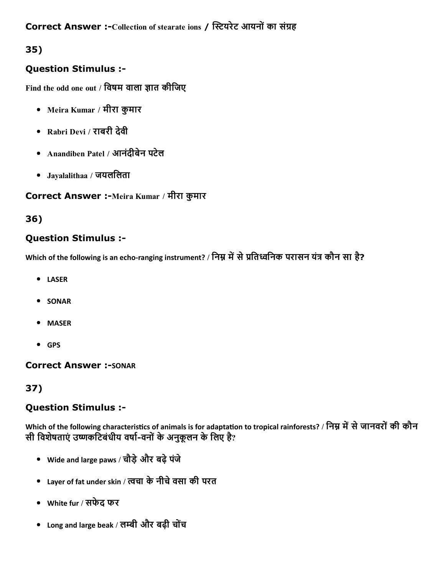## Correct Answer :-Collection of stearate ions / स्टियरेट आयनों का संग्रह

# 35)

## Question Stimulus :

Find the odd one out / विषम वाला ज्ञात कीजिए

- Meira Kumar / मीरा कुमार
- Rabri Devi / राबरी देवी
- Anandiben Patel / आनंदीबेन पटेल
- Jayalalithaa / जयलिलता

### Correct Answer :-Meira Kumar / मीरा कुमार

## 36)

## Question Stimulus :

Which of the following is an echo-ranging instrument? / निम्न में से प्रतिध्वनिक परासन यंत्र कौन सा है?

- LASER
- SONAR
- MASER
- GPS

### **Correct Answer :- SONAR**

# 37)

## Question Stimulus :

Which of the following characteristics of animals is for adaptation to tropical rainforests? / निम्न में से जानवरों की कौन सी विशेषताएं उष्णकटिबंधीय वर्षा-वनों के अनुकूलन के लिए है?

- Wide and large paws / चौड़ेऔर बढ़ेपंजे
- Layer of fat under skin / ꛕचा केनीचेवसा की परत
- White fur / सफेद फर
- Long and large beak / लम्बी और बढ़ी चोंच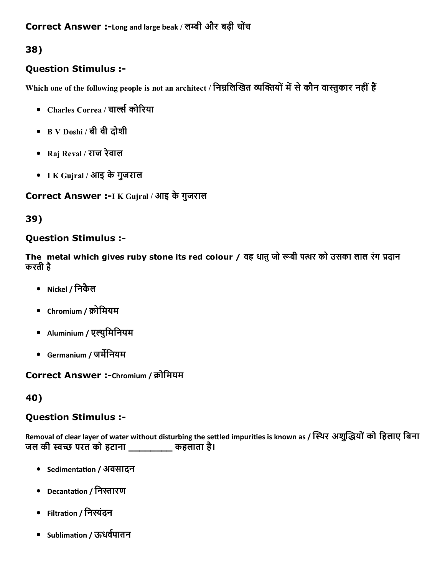38)

## Question Stimulus :

Which one of the following people is not an architect / निम्नलिखित व्यक्तियों में से कौन वास्तुकार नहीं हैं

- Charles Correa / चार्ल्स कोरिया
- B V Doshi / बी वी दोशी
- Raj Reval / राज रेवाल
- I K Gujral / आइ केगुजराल

Correct Answer :-I K Gujral / आइ के गुजराल

39)

## Question Stimulus :

The metal which gives ruby stone its red colour / वह धातु जो रूबी पत्थर को उसका लाल रंग प्रदान करती है

- Nickel / िनकैल
- Chromium / 浔″ोिमयम
- Aluminium / एल्युमिनियम
- Germanium / जर्मेनियम

Correct Answer :-Chromium / क्रोमियम

40)

## Question Stimulus :

Removal of clear layer of water without disturbing the settled impurities is known as / स्थिर अशुद्धियों को हिलाए बिना जल की स्वच्छ परत को हटाना \_\_\_\_\_\_\_\_\_ कहलाता है।

- Sedimentation / अवसादन
- Decantation / निस्तारण
- Filtration / निस्यंदन
- Sublimation / ऊधर्वपातन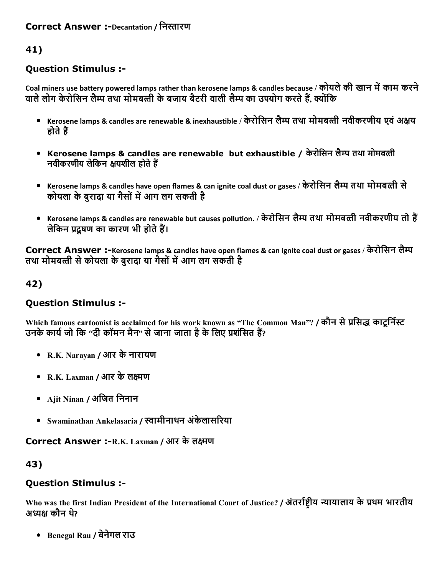## 41)

## Question Stimulus :

Coal miners use battery powered lamps rather than kerosene lamps & candles because / कोयले की खान में काम करने वाले लोग केरोसिन लैम्प तथा मोमबत्ती के बजाय बैटरी वाली लैम्प का उपयोग करते हैं, क्योंकि

- Kerosene lamps & candles are renewable & inexhaustible / केरोसिन लैम्प तथा मोमबत्ती नवीकरणीय एवं अक्षय होते हैं
- Kerosene lamps & candles are renewable but exhaustible / केरोसिन लैम्प तथा मोमबत्ती नवीकरणीय लेकिन क्षयशील होते हैं
- Kerosene lamps & candles have open flames & can ignite coal dust or gases / केरोिसन लै‰‰प तथा मोमबꛕती से कोयला के बरादा या गैसों में आग लग सकती है
- Kerosene lamps & candles are renewable but causes pollution. / केरोसिन लैम्प तथा मोमबत्ती नवीकरणीय तो हैं लेकिन प्रदषण का कारण भी होते हैं।

Correct Answer :-Kerosene lamps & candles have open flames & can ignite coal dust or gases / केरोसिन लैम्प तथा मोमबत्ती से कोयला के बरादा या गैसों में आग लग सकती है

### 42)

## Question Stimulus :

Which famous cartoonist is acclaimed for his work known as "The Common Man"? / कौन से प्रसिद्ध काटूर्निस्ट उनके कार्य जो कि ''दी कॉमन मैन'' से जाना जाता है के लिए प्रशंसित हैं?

- R.K. Narayan / आर केनारायण
- R.K. Laxman / आर के लक्ष्मण
- Ajit Ninan / अजित निनान
- Swaminathan Ankelasaria / स्वामीनाथन अंकेलासरिया

Correct Answer :- R.K. Laxman / आर के लक्ष्मण

### 43)

# Question Stimulus :

Who was the first Indian President of the International Court of Justice? / अंतर्राष्टीय न्यायालाय के प्रथम भारतीय अध्यक्ष कौन थे?

Benegal Rau / बेनेगल राउ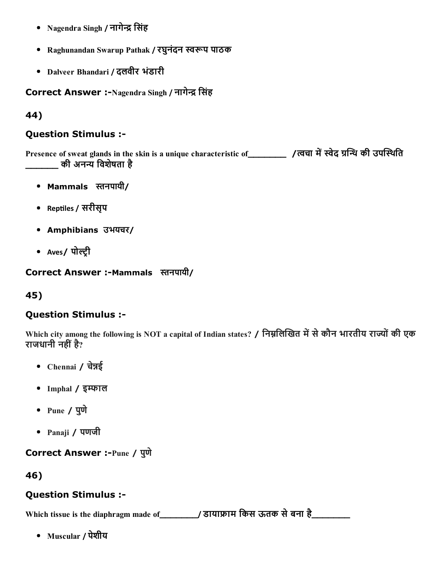- Nagendra Singh / नागेन्द्र सिंह
- Raghunandan Swarup Pathak / रघुनंदन स्वरूप पाठक
- Dalveer Bhandari / दलवीर भंडारी

Correct Answer :-Nagendra Singh / नागेन्द्र सिंह

#### 44)

#### Question Stimulus :

Presence of sweat glands in the skin is a unique characteristic of\_\_\_\_\_\_\_ /त्वचा में स्वेद ग्रन्थि की उपस्थिति \_की अनन्य विशेषता है

- $\bullet$  Mammals स्तनपायी/
- Reptiles / सरीसृप
- Amphibians उभयचर/
- Aves/ पोल्ट्री

#### Correct Answer :-Mammals स्तनपायी/

### 45)

#### Question Stimulus :

Which city among the following is NOT a capital of Indian states? / निम्नलिखित में से कौन भारतीय राज्यों की एक राजधानी नहीं है?

- Chennai / चेन्नई
- Imphal / इम्फाल
- Pune / पुणे
- Panaji / पणजी

Correct Answer :-Pune / पुणे

#### 46)

#### Question Stimulus :

Which tissue is the diaphragm made of\_\_\_\_\_\_\_/ डाया‱〰ाम िकस ऊतक सेबना है\_\_\_\_\_\_\_

Muscular / पेशीय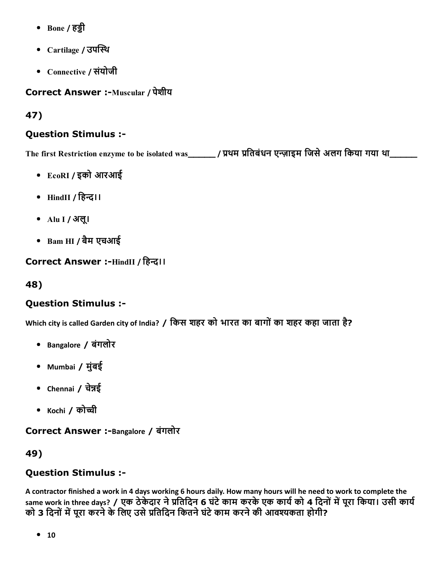- Bone / हड़ी
- Cartilage / उपस्थि
- Connective / संयोजी

Correct Answer :-Muscular / पेशीय

47)

# Question Stimulus :

The first Restriction enzyme to be isolated was\_\_\_\_\_\_ / प्रथम प्रतिबंधन एन्ज़ाइम जिसे अलग किया गया था\_\_\_\_\_\_\_\_

- EcoRI / इको आरआई
- $\bullet$  HindII / हिन्द।।
- Alu I / अलू।
- Bam HI / बैम एचआई

Correct Answer :-HindII / हिन्द।।

48)

# Question Stimulus :

Which city is called Garden city of India? / किस शहर को भारत का बागों का शहर कहा जाता है?

- Bangalore / बंगलोर
- Mumbai / मुंबई
- Chennai / चेन्नई
- Kochi / को〲ी

Correct Answer :-Bangalore / बंगलोर

49)

# Question Stimulus :

A contractor finished a work in 4 days working 6 hours daily. How many hours will he need to work to complete the same work in three days? / एक ठेकेदार ने प्रतिदिन 6 घंटे काम करके एक कार्य को 4 दिनों में पूरा किया। उसी कार्य को 3 दिनों में पूरा करने के लिए उसे प्रतिदिन कितने घंटे काम करने की आवश्यकता होगी?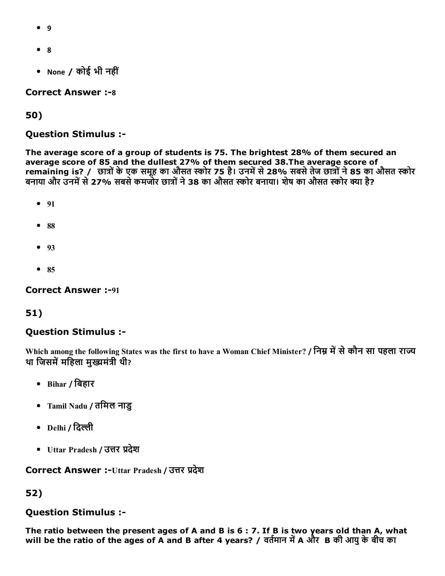- 9
- 8
- None / कोई भी नहीं

#### **Correct Answer :-8**

50)

Question Stimulus :

The average score of a group of students is 75. The brightest 28% of them secured an average score of 85 and the dullest 27% of them secured 38.The average score of remaining is? / छात्रों के एक समूह का औसत स्कोर 75 है। उनमें से 28% सबसे तेज छात्रों ने 85 का औसत स्कोर बनाया और उनमें से 27% सबसे कमजोर छात्रों ने 38 का औसत स्कोर बनाया। शेष का औसत स्कोर क्या है?

- $91$
- $88$
- 93
- $85$

Correct Answer :- 91

### 51)

### Question Stimulus :

Which among the following States was the first to have a Woman Chief Minister? / निम्न में से कौन सा पहला राज्य था जिसमें महिला मुख्यमंत्री थी?

- Bihar / िबहार
- Tamil Nadu / तिमल नाडु
- Delhi / दिल्ली
- Uttar Pradesh / उत्तर प्रदेश

Correct Answer :-Uttar Pradesh / उत्तर प्रदेश

# 52)

### Question Stimulus :

The ratio between the present ages of A and B is 6 : 7. If B is two years old than A, what will be the ratio of the ages of A and B after 4 years? / वर्तमान में A और B की आयु के बीच का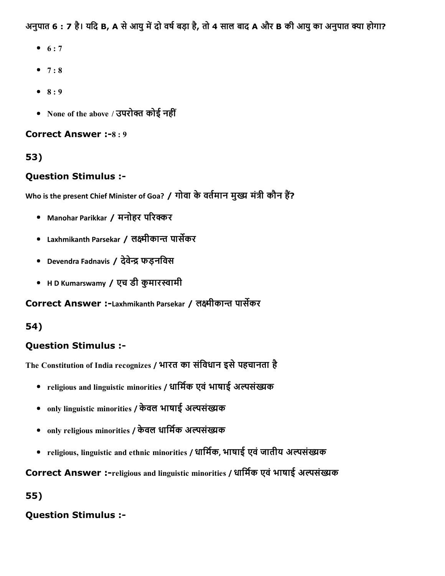अनुपात 6 : 7 है। यदि B, A से आयु में दो वर्ष बड़ा है, तो 4 साल बाद A और B की आयु का अनुपात क्या होगा?

- $6 : 7$
- $7 : 8$
- $8 : 9$
- None of the above / उपरोक्त कोई नहीं

### Correct Answer :-8:9

# 53)

## Question Stimulus :

Who is the present Chief Minister of Goa? / गोवा के वर्तमान मुख्य मंत्री कौन हैं?

- Manohar Parikkar / मनोहर परिक्कर
- Laxhmikanth Parsekar / लक्ष्मीकान्त पार्सेकर
- Devendra Fadnavis / देवेन्द्र फडनविस
- HD Kumarswamy / एच डी कुमारस्वामी

## Correct Answer :-Laxhmikanth Parsekar / लक्ष्मीकान्त पार्सेकर

## 54)

# Question Stimulus :

The Constitution of India recognizes / भारत का संविधान इसे पहचानता है

- religious and linguistic minorities / धार्मिक एवं भाषाई अल्पसंख्यक
- only linguistic minorities / केवल भाषाई अल्पसंख्यक
- only religious minorities / केवल धार्मिक अल्पसंख्यक
- religious, linguistic and ethnic minorities / धार्मिक, भाषाई एवं जातीय अल्पसंख्यक

Correct Answer :-religious and linguistic minorities / धार्मिक एवं भाषाई अल्पसंख्यक

55)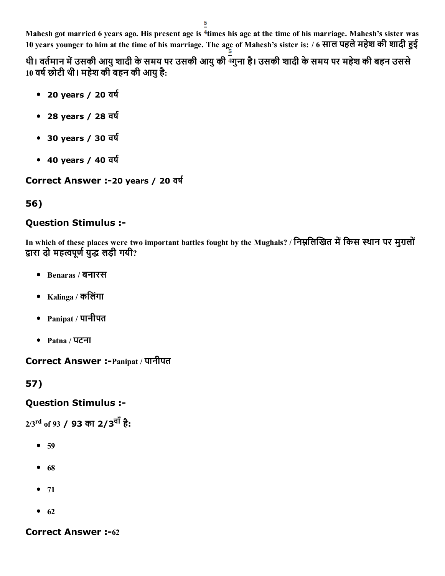Mahesh got married 6 years ago. His present age is <sup>4</sup>times his age at the time of his marriage. Mahesh's sister was 10 years younger to him at the time of his marriage. The age of Mahesh's sister is: / 6 साल पहले महेश की शादी हुई

थी। वर्तमान में उसकी आयु शादी के समय पर उसकी आयु की <sup>न्</sup>गुना है। उसकी शादी के समय पर महेश की बहन उससे  $10$  वर्ष छोटी थी। महेश की बहन की आयु है:

- 20 years / 20 वर्ष
- 28 years / 28 वर्ष
- 30 years / 30 वर्ष
- $\bullet$  40 years / 40 वर्ष

Correct Answer :-20 years / 20 वर्ष

# 56)

# Question Stimulus :

In which of these places were two important battles fought by the Mughals? / निम्नलिखित में किस स्थान पर मुग़लों द्वारा दो महत्वपूर्ण युद्ध लड़ी गयी?

- Benaras / बनारस
- Kalinga / किलंगा
- Panipat / पानीपत
- Patna / पटना

Correct Answer :Panipat / पानीपत

57)

# Question Stimulus :

2/3<sup>rd</sup> of 93 **/ 93** का 2**/3<sup>वां</sup> है:** 

- 59
- $68$
- $71$
- $62$

### **Correct Answer :-62**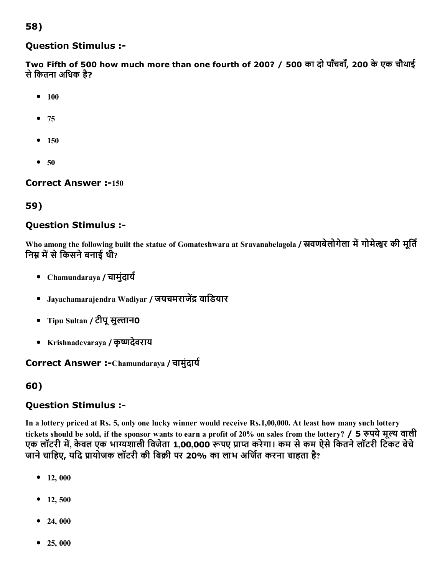## 58)

#### Question Stimulus :

Two Fifth of 500 how much more than one fourth of 200? / 500 का दो पाँचवाँ, 200 केएक चौथाई से कितना अधिक है?

- $100$
- $75$
- $150$
- $50$

**Correct Answer :-150** 

## 59)

### Question Stimulus :

Who among the following built the statue of Gomateshwara at Sravanabelagola / स्रवणबेलोगेला में गोमेल्श्वर की मूर्ति निम्न में से किसने बनाई थी?

- Chamundaraya / चामुंदार्य
- Javachamarajendra Wadivar / जयचमराजेंद्र वाडियार
- Tipu Sultan / टीपू सुल्तान0
- Krishnadevaraya / कृष्णदेवराय

### Correct Answer :-Chamundaraya / चामुंदार्य

### 60)

### Question Stimulus :

In a lottery priced at Rs. 5, only one lucky winner would receive Rs.1,00,000. At least how many such lottery tickets should be sold, if the sponsor wants to earn a profit of 20% on sales from the lottery? / 5 रुपये मूल्य वाली एक लॉटरी में, केवल एक भाग्यशाली विजेता 1,00,000 रूपए प्राप्त करेगा। कम से कम ऐसे कितने लॉटरी टिकट बेचे जाने चाहिए, यदि प्रायोजक लॉटरी की बिक्री पर 20% का लाभ अर्जित करना चाहता है?

- $12,000$
- $12, 500$
- $24,000$
- 25, 000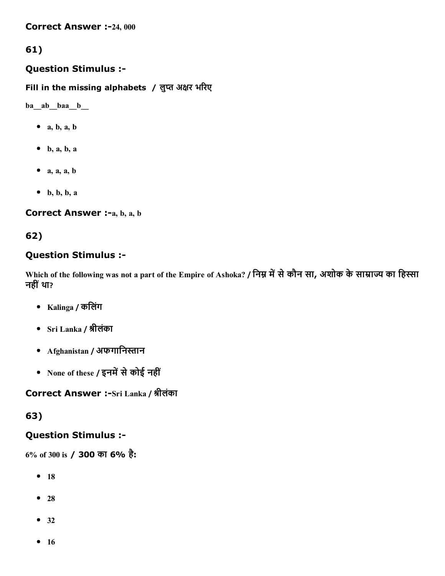**Correct Answer :-24, 000** 

# 61)

### Question Stimulus :

Fill in the missing alphabets / लुप्त अक्षर भरिए

ba\_\_ab\_\_baa\_\_b\_\_

- $\bullet$  a, b, a, b
- $\bullet$  b, a, b, a
- $\bullet$  a, a, a, b
- $\bullet$  b, b, b, a

### Correct Answer :-a, b, a, b

# 62)

## Question Stimulus :

Which of the following was not a part of the Empire of Ashoka? / निम्न में से कौन सा, अशोक के साम्राज्य का हिस्सा नहीं था?

- Kalinga / किलंग
- Sri Lanka / 㠱‱ीलंका
- $Afghanistan / 3$ फगानिस्तान
- None of these / इनमें से कोई नहीं

Correct Answer :-Sri Lanka / श्रीलंका

63)

## Question Stimulus :

6% of 300 is / 300 का 6% है:

- $18$
- $28$
- 32
- $16$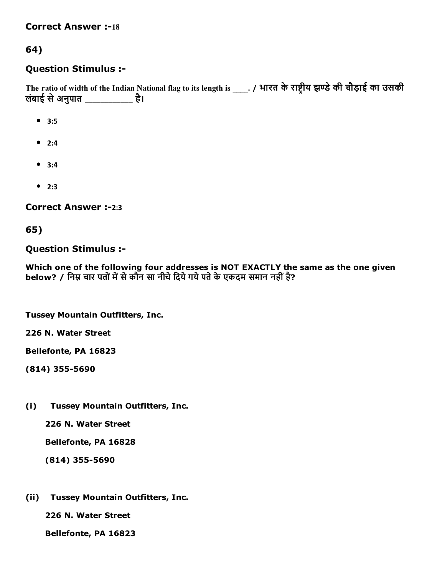#### **Correct Answer :-18**

### 64)

### Question Stimulus :

The ratio of width of the Indian National flag to its length is \_\_\_\_. / भारत के राष्ट्रीय झण्डे की चौड़ाई का उसकी लंबाई सेअनुपात \_\_\_\_\_\_\_\_\_\_\_\_ है।

- 3:5
- $2:4$
- 3:4
- $2:3$

Correct Answer :-2:3

65)

Question Stimulus :

Which one of the following four addresses is NOT EXACTLY the same as the one given below? / निम्न चार पतों में से कौन सा नीचे दिये गये पते के एकदम समान नहीं है?

Tussey Mountain Outfitters, Inc.

226 N. Water Street

Bellefonte, PA 16823

(814) 355-5690

(i) Tussey Mountain Outfitters, Inc.

226 N. Water Street

Bellefonte, PA 16828

 $(814)$  355-5690

(ii) Tussey Mountain Outfitters, Inc.

226 N. Water Street

Bellefonte, PA 16823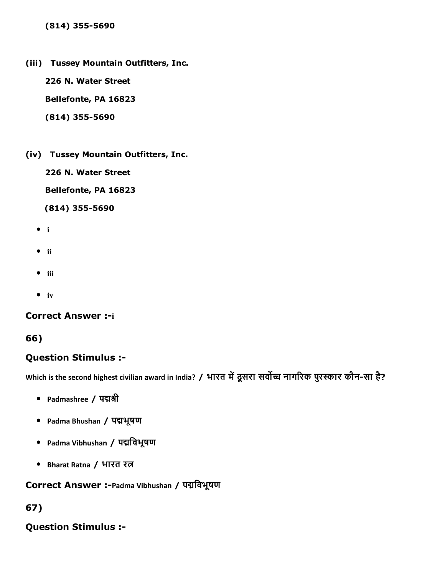$(814)$  355-5690

(iii) Tussey Mountain Outfitters, Inc.

226 N. Water Street

Bellefonte, PA 16823

 $(814)$  355-5690

(iv) Tussey Mountain Outfitters, Inc.

226 N. Water Street

Bellefonte, PA 16823

 $(814)$  355-5690

- $\bullet$  i
- $\bullet$  ii
- $\bullet$  iii
- $\bullet$  iv

#### **Correct Answer :- i**

#### 66)

### Question Stimulus :

Which is the second highest civilian award in India? / भारत में दूसरा सर्वोच्च नागरिक पुरस्कार कौन-सा है?

- Padmashree / पद्मश्री
- Padma Bhushan / पद्मभूषण
- Padma Vibhushan / पद्मविभूषण
- Bharat Ratna / भारत रत्न

Correct Answer :-Padma Vibhushan / पद्मविभूषण

#### 67)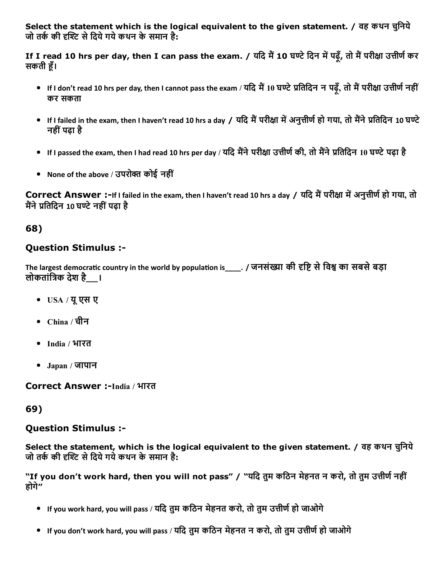Select the statement which is the logical equivalent to the given statement. / वह कथन चुनिये जो तर्क की दृश्टि से दिये गये कथन के समान है:

If I read 10 hrs per day, then I can pass the exam. / यदि मैं 10 घण्टे दिन में पढ़ँ, तो मैं परीक्षा उत्तीर्ण कर सकती हूँ।

- If I don't read 10 hrs per day, then I cannot pass the exam / यदि मैं 10 घण्टे प्रतिदिन न पढ़ँ, तो मैं परीक्षा उत्तीर्ण नहीं कर सकता
- If I failed in the exam, then I haven't read 10 hrs a day / यदि मैं परीक्षा में अनुत्तीर्ण हो गया, तो मैंने प्रतिदिन 10 घण्टे नहींपढ़ा है
- If I passed the exam, then I had read 10 hrs per day / यदि मैंने परीक्षा उत्तीर्ण की, तो मैंने प्रतिदिन 10 घण्टे पढ़ा है
- None of the above / उपरोक्त कोई नहीं

Correct Answer :-If I failed in the exam, then I haven't read 10 hrs a day / यदि मैं परीक्षा में अनुत्तीर्ण हो गया, तो मैंने प्रतिदिन 10 घण्टे नहीं पढ़ा है

### 68)

### Question Stimulus :

The largest democratic country in the world by population is \_\_\_\_. / जनसंख्या की दृष्टि से विश्व का सबसे बड़ा लोकतांत्रिक देश है \_\_।

- USA / यूएस ए
- China / चीन
- India / भारत
- Japan / जापान

Correct Answer :-India / भारत

### 69)

### Question Stimulus :

Select the statement, which is the logical equivalent to the given statement. / वह कथन चुिनये जो तर्क की दृश्टि से दिये गये कथन के समान है:

"If you don't work hard, then you will not pass" / "यदि तुम कठिन मेहनत न करो, तो तुम उत्तीर्ण नहीं होगे"

- $\bullet$  If you work hard, you will pass / यदि तुम कठिन मेहनत करो, तो तुम उत्तीर्ण हो जाओगे
- $\bullet$  If you don't work hard, you will pass / यदि तुम कठिन मेहनत न करो, तो तुम उत्तीर्ण हो जाओगे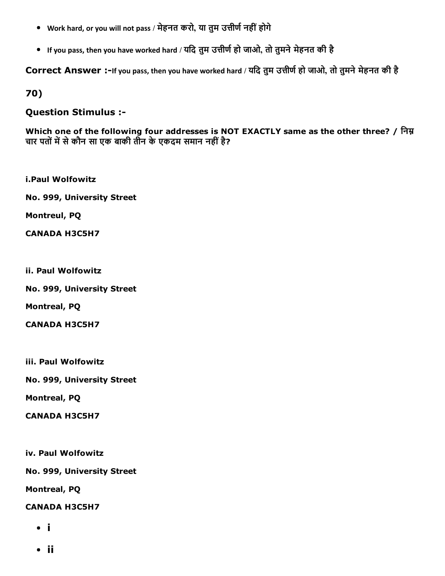- Work hard, or you will not pass / मेहनत करो, या तुम उत्तीर्ण नहीं होगे
- If you pass, then you have worked hard / यदि तुम उत्तीर्ण हो जाओ, तो तुमने मेहनत की है

Correct Answer :-If you pass, then you have worked hard / यदि तुम उत्तीर्ण हो जाओ, तो तुमने मेहनत की है

70)

#### Question Stimulus :

Which one of the following four addresses is NOT EXACTLY same as the other three? / निम्न चार पतों में से कौन सा एक बाकी तीन के एकदम समान नहीं है?

i.Paul Wolfowitz

No. 999, University Street

Montreul, PQ

CANADA H3C5H7

ii. Paul Wolfowitz

No. 999, University Street

Montreal, PQ

CANADA H3C5H7

iii. Paul Wolfowitz

No. 999, University Street

Montreal, PQ

CANADA H3C5H7

iv. Paul Wolfowitz

No. 999, University Street

Montreal, PQ

CANADA H3C5H7

- i
- ii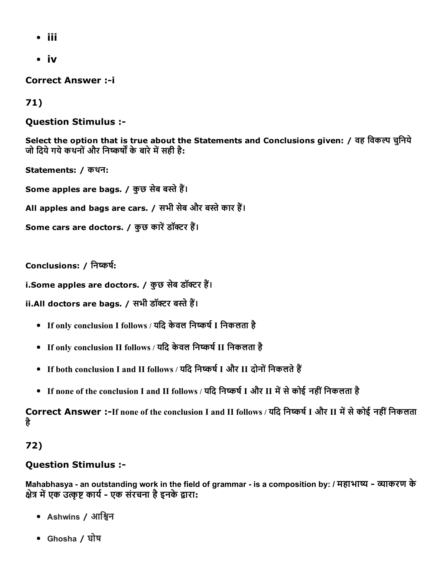- iii
- iv

**Correct Answer :- i** 

## 71)

## Question Stimulus :

Select the option that is true about the Statements and Conclusions given: / वह विकल्प चुनिये जो दिये गये कथनों और निष्कर्षों के बारे में सही है:

Statements: / कथन: Some apples are bags. / कुछ सेब बस्ते हैं। All apples and bags are cars. / सभी सेब और बस्ते कार हैं। Some cars are doctors. / कुछ कारें डॉक्टर हैं।

Conclusions: / निष्कर्ष:

i.Some apples are doctors. / कुछ सेब डॉक्टर हैं।

ii.All doctors are bags. / सभी डॉक्टर बस्ते हैं।

- If only conclusion I follows / यदि केवल निष्कर्ष I निकलता है
- If only conclusion II follows / यदि केवल निष्कर्ष II निकलता है
- If both conclusion I and II follows / यदि निष्कर्ष I और II दोनों निकलते हैं
- If none of the conclusion I and II follows / यदि निष्कर्ष I और II में से कोई नहीं निकलता है

Correct Answer :-If none of the conclusion I and II follows / यदि निष्कर्ष I और II में से कोई नहीं निकलता है

## 72)

## Question Stimulus :

Mahabhasya - an outstanding work in the field of grammar - is a composition by: / महाभाष्य - व्याकरण के क्षेत्र में एक उत्कृष्ट कार्य - एक संरचना है इनके द्वारा:

- Ashwins / आश्विन
- Ghosha / घोष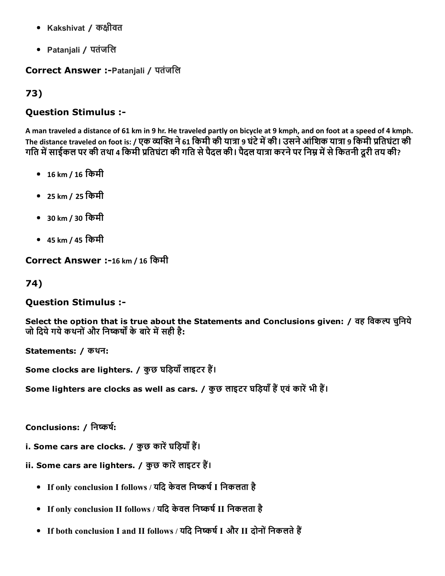- Kakshivat / कक्षीवत
- Patanjali / पतंजिल

### Correct Answer :Patanjali / पतंजिल

## 73)

## Question Stimulus :

A man traveled a distance of 61 km in 9 hr. He traveled partly on bicycle at 9 kmph, and on foot at a speed of 4 kmph. The distance traveled on foot is: / एक व्यक्ति ने 61 किमी की यात्रा 9 घंटे में की। उसने आंशिक यात्रा 9 किमी प्रतिघंटा की गति में साईकल पर की तथा 4 किमी प्रतिघंटा की गति से पैदल की। पैदल यात्रा करने पर निम्न में से कितनी दूरी तय की?

- 16 km / 16 िकमी
- 25 km / 25 िकमी
- 30 km / 30 िकमी
- 45 km / 45 िकमी

Correct Answer :-16 km / 16 किमी

74)

Question Stimulus :

Select the option that is true about the Statements and Conclusions given: / वह विकल्प चुनिये जो दिये गये कथनों और निष्कर्षों के बारे में सही है:

Statements: / कथन:

Some clocks are lighters. / कुछ घड़ियाँ लाइटर हैं।

Some lighters are clocks as well as cars. / कुछ लाइटर घड़ियाँ हैं एवं कारें भी हैं।

Conclusions: / निष्कर्ष:

- i. Some cars are clocks. / कुछ कारें घड़ियाँ हैं।
- ii. Some cars are lighters. / कुछ कारें लाइटर हैं।
	- If only conclusion I follows / यदि केवल निष्कर्ष I निकलता है
	- If only conclusion II follows / यदि केवल निष्कर्ष II निकलता है
	- If both conclusion I and II follows / यदि निष्कर्ष I और II दोनों निकलते हैं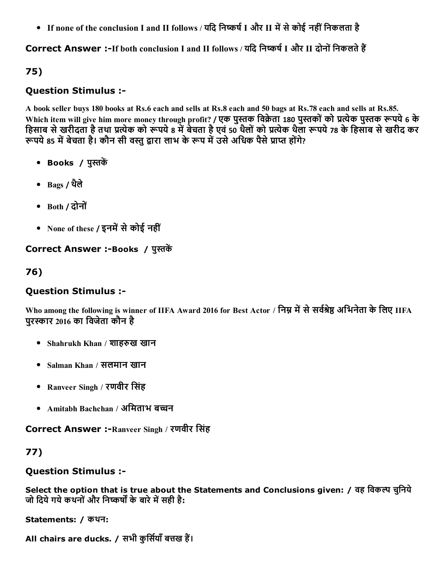• If none of the conclusion I and II follows / यदि निष्कर्ष I और II में से कोई नहीं निकलता है

Correct Answer :-If both conclusion I and II follows / यदि निष्कर्ष I और II दोनों निकलते हैं

# 75)

## Question Stimulus :

A book seller buys 180 books at Rs.6 each and sells at Rs.8 each and 50 bags at Rs.78 each and sells at Rs.85. Which item will give him more money through profit? / एक पुस्तक विक्रेता 180 पुस्तकों को प्रत्येक पुस्तक रूपये 6 के हिसाब से खरीदता है तथा प्रत्येक को रूपये ८ में बेचता है एवं 50 थैलों को प्रत्येक थैला रूपये ७८ के हिसाब से खरीद कर रूपये 85 में बेचता है। कौन सी वस्त द्वारा लाभ के रूप में उसे अधिक पैसे प्राप्त होंगे?

- Books / पुस्तकें
- Bags / थलैे
- Both / दोनों
- None of these / इनमें से कोई नहीं

Correct Answer :-Books / पुस्तकें

# 76)

# Question Stimulus :

Who among the following is winner of IIFA Award 2016 for Best Actor / निम्न में से सर्वश्रेष्ठ अभिनेता के लिए IIFA परस्कार 2016 का विजेता कौन है

- Shahrukh Khan / शाहरुख खान
- Salman Khan / सलमान खान
- Ranveer Singh / रणवीर िसंह
- Amitabh Bachchan / अमिताभ बच्चन

Correct Answer :-Ranveer Singh / रणवीर सिंह

# 77)

# Question Stimulus :

Select the option that is true about the Statements and Conclusions given: / वह विकल्प चुनिये जो दिये गये कथनों और निष्कर्षों के बारे में सही है:

Statements: / कथन:

All chairs are ducks. / सभी कूर्सियाँ बत्तख हैं।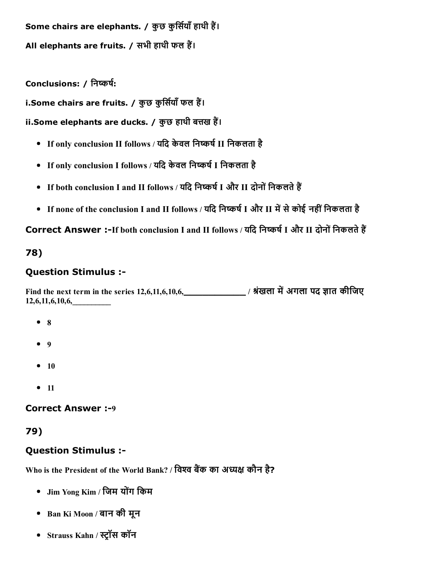Some chairs are elephants. / कुछ कुर्सियाँ हाथी हैं। All elephants are fruits. / सभी हाथी फल हैं।

Conclusions: / निष्कर्ष:

i.Some chairs are fruits. / कुछ कुर्सियाँ फल हैं।

ii.Some elephants are ducks. / कुछ हाथी बत्तख हैं।

- If only conclusion II follows / यदि केवल निष्कर्ष II निकलता है
- If only conclusion I follows / यदि केवल निष्कर्ष I निकलता है
- If both conclusion I and II follows / यदि निष्कर्ष I और II दोनों निकलते हैं
- If none of the conclusion I and II follows / यदि निष्कर्ष I और II में से कोई नहीं निकलता है

Correct Answer :-If both conclusion I and II follows / यदि निष्कर्ष I और II दोनों निकलते हैं

# 78)

## Question Stimulus :

Find the next term in the series 12,6,11,6,10,6, \_\_\_\_\_\_\_\_\_\_\_\_\_\_\_\_\_\_\_\_\_ / श्रंखला में अगला पद ज्ञात कीजिए 12,6,11,6,10,6,\_\_\_\_\_\_\_\_\_\_

- $8$
- $9$
- $10$
- $11$

**Correct Answer :-9** 

## 79)

# Question Stimulus :

Who is the President of the World Bank? / विश्व बैंक का अध्यक्ष कौन है?

- Jim Yong Kim / जिम योंग किम
- Ban Ki Moon / बान की मून
- Strauss Kahn / स्ट्रॉस कॉन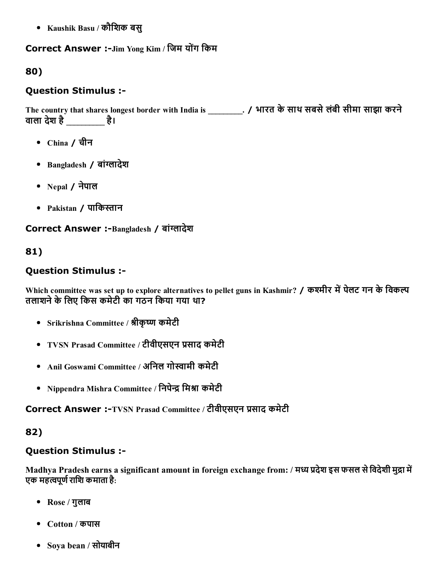Kaushik Basu / कौिशक बसु

#### Correct Answer :-Jim Yong Kim / जिम योंग किम

### 80)

### Question Stimulus :

The country that shares longest border with India is \_\_\_\_\_\_\_\_. / भारत के साथ सबसे लंबी सीमा साझा करने वाला देश है\_\_\_\_\_\_\_\_\_\_ है।

- China / चीन
- Bangladesh / बांग्लादेश
- Nepal / नेपाल
- Pakistan / पाकिस्तान

#### Correct Answer :-Bangladesh / बांग्लादेश

### 81)

### Question Stimulus :

Which committee was set up to explore alternatives to pellet guns in Kashmir? / कश्मीर में पेलट गन के विकल्प तलाशने के लिए किस कमेटी का गठन किया गया था?

- Srikrishna Committee / श्रीकृष्ण कमेटी
- TVSN Prasad Committee / टीवीएसएन प्रसाद कमेटी
- Anil Goswami Committee / अनिल गोस्वामी कमेटी
- Nippendra Mishra Committee / निपेन्द्र मिश्रा कमेटी

Correct Answer :-TVSN Prasad Committee / टीवीएसएन प्रसाद कमेटी

### 82)

#### Question Stimulus :

Madhya Pradesh earns a significant amount in foreign exchange from: / मध्य प्रदेश इस फसल से विदेशी मुद्रा में एक महत्वपूर्ण राशि कमाता है:

- Rose / गुलाब
- Cotton / कपास
- Soya bean / सोयाबीन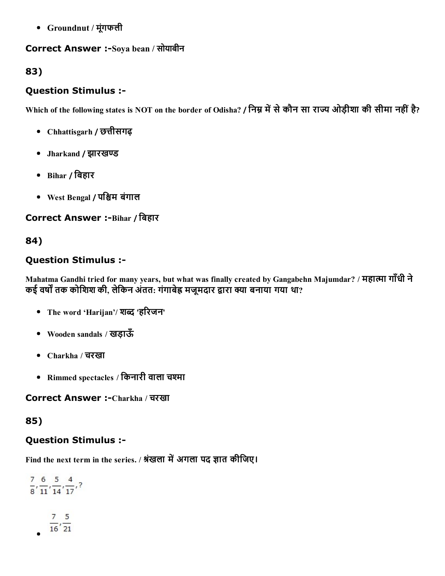Groundnut / मूंगफली

# Correct Answer :-Soya bean / सोयाबीन

### 83)

### Question Stimulus :

Which of the following states is NOT on the border of Odisha? / निम्न में से कौन सा राज्य ओड़ीशा की सीमा नहीं है?

- Chhattisgarh / छꛕीसगढ़
- Jharkand / झारखण्ड
- Bihar / िबहार
- West Bengal / पश्चिम बंगाल

Correct Answer :- Bihar / बिहार

### 84)

#### Question Stimulus :

Mahatma Gandhi tried for many years, but what was finally created by Gangabehn Majumdar? / महात्मा गाँधी ने कई वर्षों तक कोशिश की, लेकिन अंतत: गंगाबेह्र मजूमदार द्वारा क्या बनाया गया था?

- The word 'Harijan'/ शब्द 'हरिजन'
- Wooden sandals / खड़ाऊँ
- Charkha / चरखा
- Rimmed spectacles / किनारी वाला चश्मा

Correct Answer :-Charkha / चरखा

### 85)

### Question Stimulus :

Find the next term in the series. / श्रंखला में अगला पद ज्ञात कीजिए।

```
\frac{7}{8}, \frac{6}{11}, \frac{5}{14}, \frac{4}{17}, ?\frac{7}{16}, \frac{5}{21}
```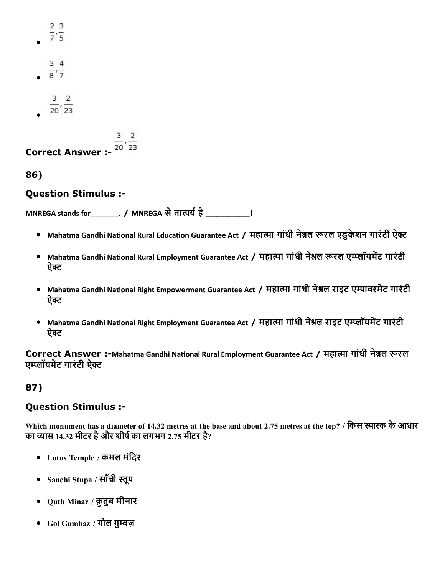| $\frac{2}{7}, \frac{3}{5}$   |  |
|------------------------------|--|
| $\frac{3}{8}, \frac{4}{7}$   |  |
| $\frac{3}{20}, \frac{2}{23}$ |  |

**Correct Answer :-**  $\overline{^{20'}23}$ 

86)

#### Question Stimulus :

MNREGA stands for \_\_\_\_\_\_\_\_. / MNREGA से तात्पर्य है

- Mahatma Gandhi National Rural Education Guarantee Act / महात्मा गांधी नेश्नल रूरल एडुकेशन गारंटी ऐक्ट
- Mahatma Gandhi National Rural Employment Guarantee Act / महात्मा गांधी नेश्नल रूरल एम्प्लॉयमेंट गारंटी ऐक्ट
- Mahatma Gandhi National Right Empowerment Guarantee Act / महात्मा गांधी नेश्नल राइट एम्पावरमेंट गारंटी ऐक्ट
- Mahatma Gandhi National Right Employment Guarantee Act / महात्मा गांधी नेश्नल राइट एम्प्लॉयमेंट गारंटी ऐक्ट

Correct Answer :-Mahatma Gandhi National Rural Employment Guarantee Act / महात्मा गांधी नेश्नल रूरल एम्प्लॉयमेंट गारंटी ऐक्ट

### 87)

#### Question Stimulus :

Which monument has a diameter of 14.32 metres at the base and about 2.75 metres at the top? / किस स्मारक के आधार का व्यास 14.32 मीटर है और शीर्ष का लगभग 2.75 मीटर है?

- Lotus Temple / कमल मंिदर
- Sanchi Stupa / साँची स्तूप
- Qutb Minar / क़ुतुब मीनार
- Gol Gumbaz / गोल गुम्बज़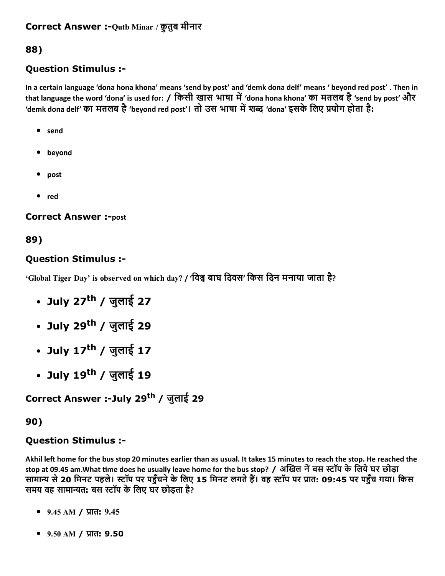# 88)

### Question Stimulus :

In a certain language 'dona hona khona' means 'send by post' and 'demk dona delf' means ' beyond red post' . Then in that language the word 'dona' is used for: / किसी खास भाषा में 'dona hona khona' का मतलब है 'send by post' और 'demk dona delf' का मतलब है 'beyond red post'। तो उस भाषा में शब्द 'dona' इसके लिए प्रयोग होता है:

- send
- beyond
- post
- red

**Correct Answer :-post** 

### 89)

#### Question Stimulus :

'Global Tiger Day' is observed on which day? / 'विश्व बाघ दिवस' किस दिन मनाया जाता है?

- July 27<sup>th</sup> / जुलाई 27
- July 29<sup>th</sup> / जुलाई 29
- July 17<sup>th</sup> / जुलाई 17
- July 19<sup>th</sup> / जुलाई 19

Correct Answer :-July 29<sup>th</sup> / जुलाई 29

#### 90)

#### Question Stimulus :

Akhil left home for the bus stop 20 minutes earlier than as usual. It takes 15 minutes to reach the stop. He reached the stop at 09.45 am.What time does he usually leave home for the bus stop? / अखिल नें बस स्टॉप के लिये घर छोड़ा सामान्य से 20 मिनट पहले। स्टॉप पर पहुँचने के लिए 15 मिनट लगते हैं। वह स्टॉप पर प्रात: 09:45 पर पहुँच गया। किस समय वह सामान्यत: बस स्टॉप के लिए घर छोड़ता है?

- $9.45$  AM / प्रात:  $9.45$
- $9.50$  AM / प्रात: 9.50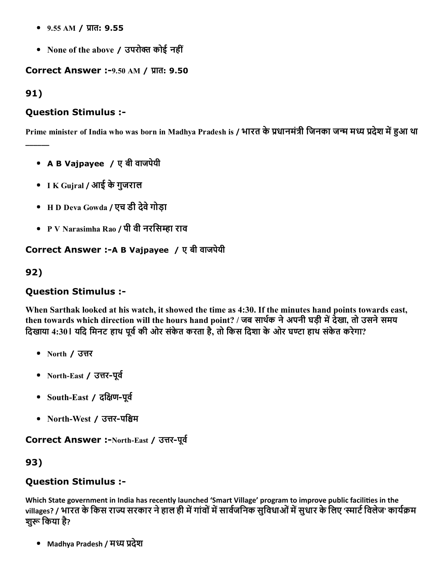- $9.55$  AM / प्रात:  $9.55$
- None of the above / उपरोक्त कोई नहीं

Correct Answer :- 9.50 AM / प्रात: 9.50

91)

\_\_\_\_\_\_

#### Question Stimulus :

Prime minister of India who was born in Madhya Pradesh is / भारत के प्रधानमंत्री जिनका जन्म मध्य प्रदेश में हुआ था

- A B Vajpayee / ए बी वाजपेयी
- I K Gujral / आई केगुजराल
- H D Deva Gowda / एच डी देवेगोड़ा
- P V Narasimha Rao / पी वी नरसिम्हा राव

#### Correct Answer :- A B Vajpayee / ए बी वाजपेयी

92)

### Question Stimulus :

When Sarthak looked at his watch, it showed the time as 4:30. If the minutes hand points towards east, then towards which direction will the hours hand point? / जब सार्थक ने अपनी घड़ी में देखा, तो उसने समय दिखाया 4:30। यदि मिनट हाथ पूर्व की ओर संकेत करता है, तो किस दिशा के ओर घण्टा हाथ संकेत करेगा?

- North / उत्तर
- North-East / उत्तर-पूर्व
- South-East / दक्षिण-पूर्व
- North-West / उत्तर-पश्चिम

Correct Answer :-North-East / उत्तर-पूर्व

93)

### Question Stimulus :

Which State government in India has recently launched 'Smart Village' program to improve public facilities in the villages? / भारत के किस राज्य सरकार ने हाल ही में गांवों में सार्वजनिक सुविधाओं में सुधार के लिए 'स्मार्ट विलेज' कार्यक्रम शुरू किया है?

• Madhya Pradesh / मध्य प्रदेश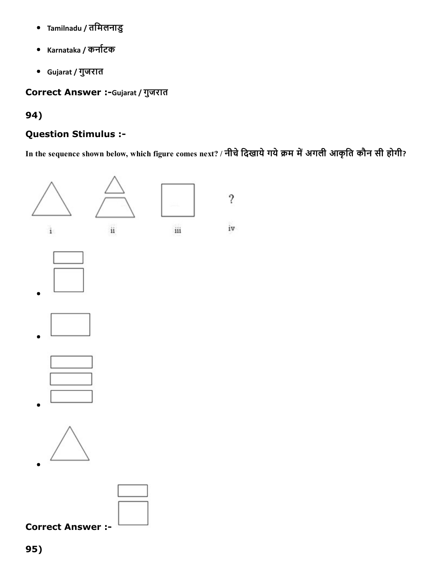- Tamilnadu / तिमलनाडु  $\bullet$
- Karnataka / कर्नाटक
- Gujarat / गुजरात

Correct Answer :-Gujarat / गुजरात

## 94)

# Question Stimulus :

In the sequence shown below, which figure comes next? / नीचे दिखाये गये क्रम में अगली आकृति कौन सी होगी?



Correct Answer :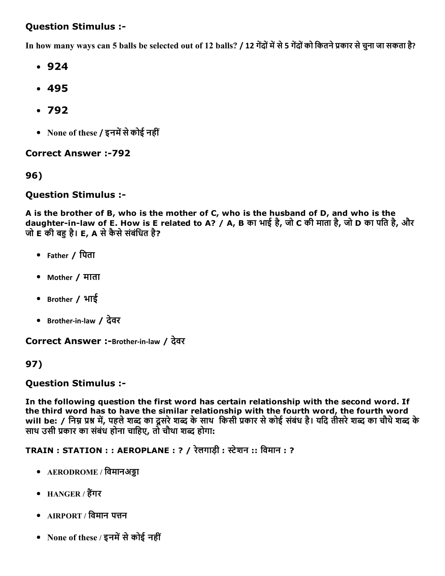#### Question Stimulus :

In how many ways can 5 balls be selected out of 12 balls? / 12 गेंदों में से 5 गेंदों को कितने प्रकार से चुना जा सकता है?

- 924
- 495
- 792
- None of these / इनमें से कोई नहीं

**Correct Answer :-792** 

96)

#### Question Stimulus :

A is the brother of B, who is the mother of C, who is the husband of D, and who is the daughter-in-law of E. How is E related to A? / A, B का भाई है, जो C की माता है, जो D का पति है, और जो  $E$  की बह है। E, A से कैसे संबंधित है?

- Father / िपता
- Mother / माता
- Brother / भाई
- Brother-in-law / देवर

Correct Answer :-Brother-in-law / देवर

#### 97)

#### Question Stimulus :

In the following question the first word has certain relationship with the second word. If the third word has to have the similar relationship with the fourth word, the fourth word will be: / निम्न प्रश्न में, पहले शब्द का दूसरे शब्द के साथ किसी प्रकार से कोई संबंध है। यदि तीसरे शब्द का चौथे शब्द के साथ उसी प्रकार का संबंध होना चाहिए, तो चौथा शब्द होगा:

 $TRAIN : STATION :: AEROPLANE : ? / \sqrt{3}$ लगाड़ी : स्टेशन :: विमान : ?

- AERODROME / विमानअड्डा
- HANGER / हैंगर
- $\bullet$  AIRPORT / विमान पत्तन
- None of these / इनमें से कोई नहीं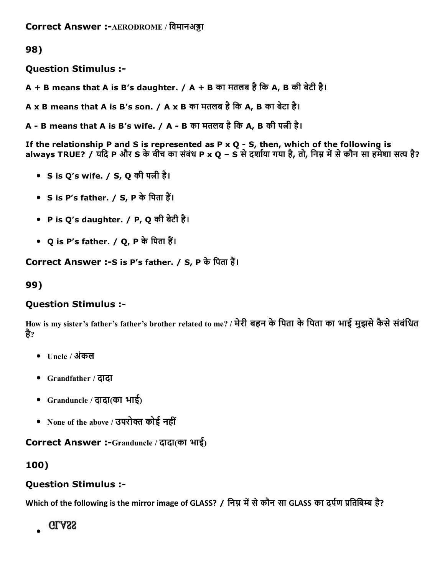98)

Question Stimulus :

 $A + B$  means that A is B's daughter. / A + B का मतलब है कि A, B की बेटी है।

A x B means that A is B's son. / A x B का मतलब है कि A, B का बेटा है।

<code>A - B</code> means that A is B's wife. / A - B का मतलब है कि A, B की पत्नी है।

If the relationship P and S is represented as P  $\times$  Q - S, then, which of the following is always TRUE? / यदि P और S के बीच का संबंध P x Q – S से दर्शाया गया है, तो, निम्न में से कौन सा हमेशा सत्य है?

- S is Q's wife. / S, Q की पत्नी है।
- $S$  is P's father. /  $S$ , P के पिता हैं।
- P is Q's daughter. / P, Q की बेटी है।
- Q is P's father. / Q, P के पिता हैं।

Correct Answer :-S is P's father. / S, P के पिता हैं।

99)

#### Question Stimulus :

How is my sister's father's father's brother related to me? / मेरी बहन के पिता के पिता का भाई मुझसे कैसे संबंधित है?

- Uncle / अंकल
- Grandfather / दादा
- Granduncle / दादा(का भाई)
- $\bullet$  None of the above / उपरोक्त कोई नहीं

Correct Answer :-Granduncle / दादा(का भाई)

### 100)

#### Question Stimulus :

Which of the following is the mirror image of GLASS? / निम्न में से कौन सा GLASS का दर्पण प्रतिबिम्ब है?

**GLASS**